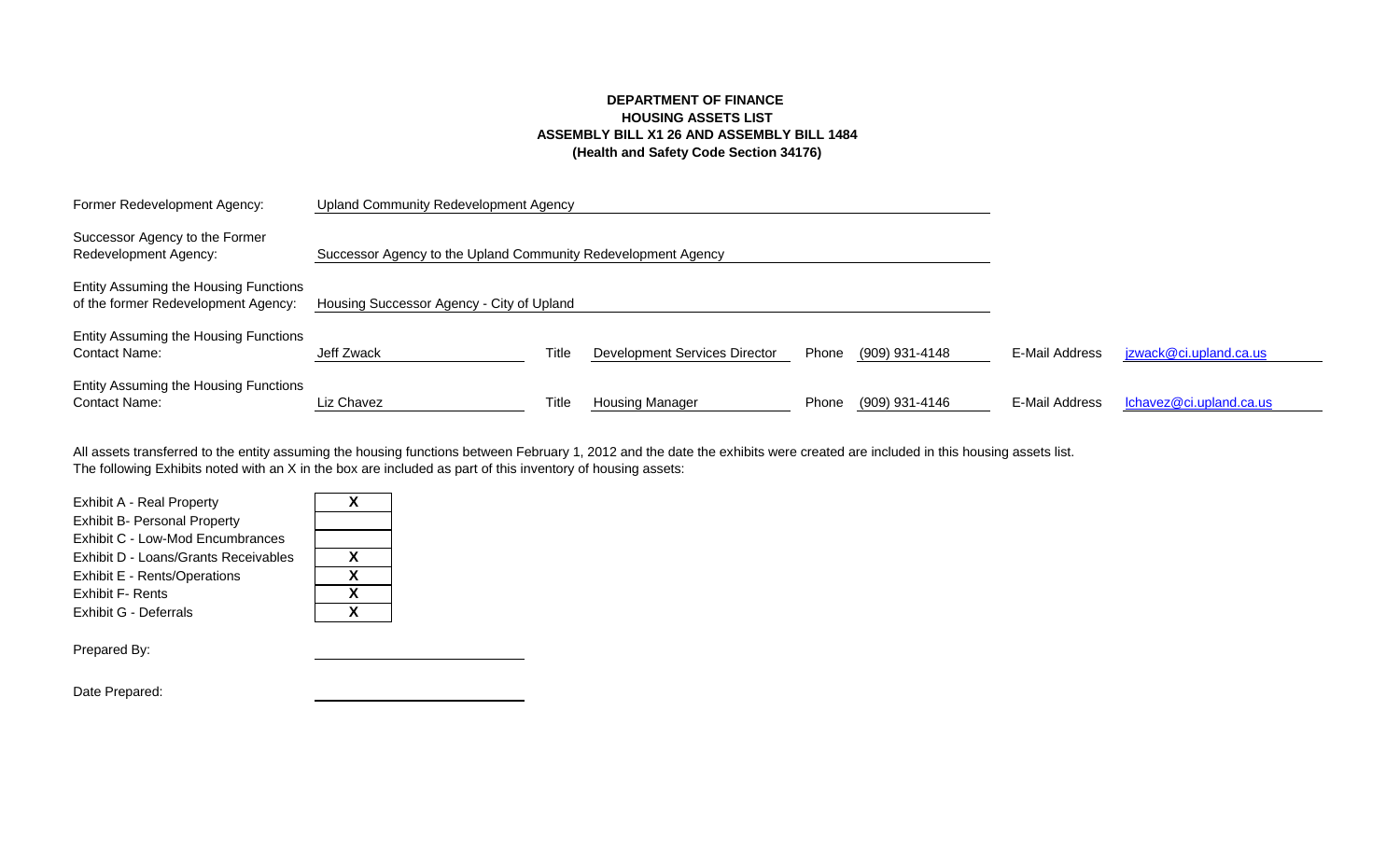# **DEPARTMENT OF FINANCE HOUSING ASSETS LIST ASSEMBLY BILL X1 26 AND ASSEMBLY BILL 1484 (Health and Safety Code Section 34176)**

| Former Redevelopment Agency:                                                 | <b>Upland Community Redevelopment Agency</b>                  |       |                               |       |                |                |                         |
|------------------------------------------------------------------------------|---------------------------------------------------------------|-------|-------------------------------|-------|----------------|----------------|-------------------------|
| Successor Agency to the Former<br>Redevelopment Agency:                      | Successor Agency to the Upland Community Redevelopment Agency |       |                               |       |                |                |                         |
| Entity Assuming the Housing Functions<br>of the former Redevelopment Agency: | Housing Successor Agency - City of Upland                     |       |                               |       |                |                |                         |
| Entity Assuming the Housing Functions<br><b>Contact Name:</b>                | Jeff Zwack                                                    | Title | Development Services Director | Phone | (909) 931-4148 | E-Mail Address | jzwack@ci.upland.ca.us  |
| Entity Assuming the Housing Functions<br><b>Contact Name:</b>                | Liz Chavez                                                    | Title | Housing Manager               | Phone | (909) 931-4146 | E-Mail Address | Ichavez@ci.upland.ca.us |

The following Exhibits noted with an X in the box are included as part of this inventory of housing assets: All assets transferred to the entity assuming the housing functions between February 1, 2012 and the date the exhibits were created are included in this housing assets list.

| Exhibit A - Real Property            |   |
|--------------------------------------|---|
| <b>Exhibit B- Personal Property</b>  |   |
| Exhibit C - Low-Mod Encumbrances     |   |
| Exhibit D - Loans/Grants Receivables | x |
| Exhibit E - Rents/Operations         | x |
| <b>Exhibit F- Rents</b>              | x |
| Exhibit G - Deferrals                | Y |
|                                      |   |

| X |  |
|---|--|
| X |  |
| X |  |
| X |  |
|   |  |

Prepared By:

Date Prepared: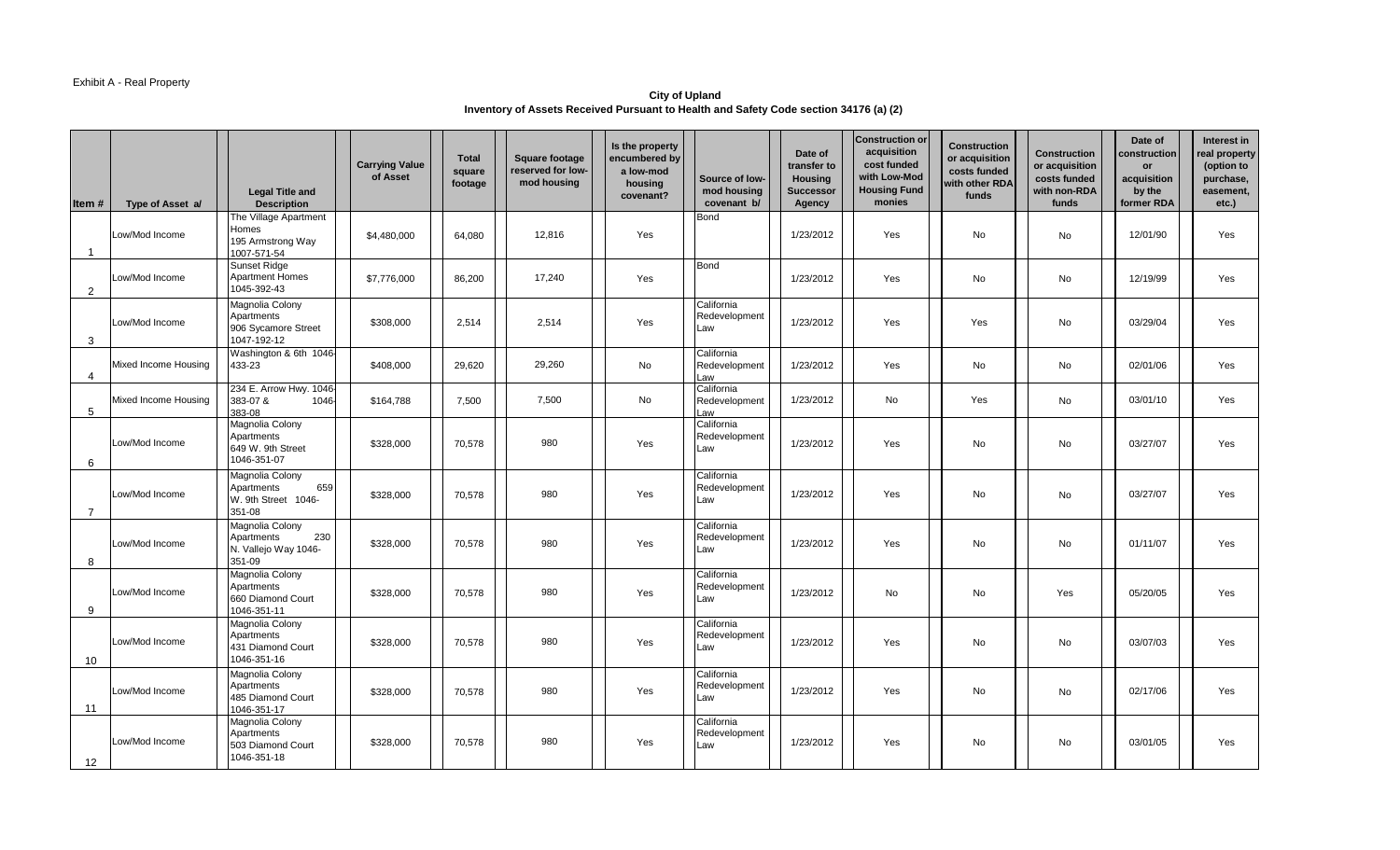### Exhibit A - Real Property

**City of Upland Inventory of Assets Received Pursuant to Health and Safety Code section 34176 (a) (2)** 

| Item #         | Type of Asset a/     | <b>Legal Title and</b><br><b>Description</b>                           | <b>Carrying Value</b><br>of Asset | <b>Total</b><br>square<br>footage | <b>Square footage</b><br>reserved for low-<br>mod housing | Is the property<br>encumbered by<br>a low-mod<br>housing<br>covenant? | Source of low-<br>mod housing<br>covenant b/ | Date of<br>transfer to<br><b>Housing</b><br><b>Successor</b><br>Agency | <b>Construction or</b><br>acquisition<br>cost funded<br>with Low-Mod<br><b>Housing Fund</b><br>monies | <b>Construction</b><br>or acquisition<br>costs funded<br>with other RDA<br>funds | <b>Construction</b><br>or acquisition<br>costs funded<br>with non-RDA<br>funds | Date of<br>construction<br>or<br>acquisition<br>by the<br>former RDA | Interest in<br>real property<br>(option to<br>purchase,<br>easement,<br>etc.) |
|----------------|----------------------|------------------------------------------------------------------------|-----------------------------------|-----------------------------------|-----------------------------------------------------------|-----------------------------------------------------------------------|----------------------------------------------|------------------------------------------------------------------------|-------------------------------------------------------------------------------------------------------|----------------------------------------------------------------------------------|--------------------------------------------------------------------------------|----------------------------------------------------------------------|-------------------------------------------------------------------------------|
| -1             | Low/Mod Income       | The Village Apartment<br>Homes<br>195 Armstrong Way<br>1007-571-54     | \$4,480,000                       | 64,080                            | 12,816                                                    | Yes                                                                   | <b>Bond</b>                                  | 1/23/2012                                                              | Yes                                                                                                   | No                                                                               | No                                                                             | 12/01/90                                                             | Yes                                                                           |
| 2              | Low/Mod Income       | <b>Sunset Ridge</b><br><b>Apartment Homes</b><br>1045-392-43           | \$7,776,000                       | 86.200                            | 17,240                                                    | Yes                                                                   | Bond                                         | 1/23/2012                                                              | Yes                                                                                                   | No                                                                               | No                                                                             | 12/19/99                                                             | Yes                                                                           |
| 3              | Low/Mod Income       | Magnolia Colony<br>Apartments<br>906 Sycamore Street<br>1047-192-12    | \$308,000                         | 2,514                             | 2.514                                                     | Yes                                                                   | California<br>Redevelopment<br>Law           | 1/23/2012                                                              | Yes                                                                                                   | Yes                                                                              | No                                                                             | 03/29/04                                                             | Yes                                                                           |
| $\overline{4}$ | Mixed Income Housing | Washington & 6th 1046-<br>433-23                                       | \$408,000                         | 29,620                            | 29,260                                                    | No                                                                    | California<br>Redevelopment<br>Law           | 1/23/2012                                                              | Yes                                                                                                   | No                                                                               | No                                                                             | 02/01/06                                                             | Yes                                                                           |
| 5              | Mixed Income Housing | 234 E. Arrow Hwy. 1046-<br>383-07 &<br>1046<br>383-08                  | \$164,788                         | 7.500                             | 7,500                                                     | <b>No</b>                                                             | California<br>Redevelopment<br>Law           | 1/23/2012                                                              | <b>No</b>                                                                                             | Yes                                                                              | No                                                                             | 03/01/10                                                             | Yes                                                                           |
| 6              | Low/Mod Income       | Magnolia Colony<br>Apartments<br>649 W. 9th Street<br>1046-351-07      | \$328,000                         | 70,578                            | 980                                                       | Yes                                                                   | California<br>Redevelopment<br>Law           | 1/23/2012                                                              | Yes                                                                                                   | No                                                                               | No                                                                             | 03/27/07                                                             | Yes                                                                           |
| $\overline{7}$ | Low/Mod Income       | Magnolia Colony<br>659<br>Apartments<br>W. 9th Street 1046-<br>351-08  | \$328,000                         | 70,578                            | 980                                                       | Yes                                                                   | California<br>Redevelopment<br>Law           | 1/23/2012                                                              | Yes                                                                                                   | No                                                                               | No                                                                             | 03/27/07                                                             | Yes                                                                           |
| 8              | Low/Mod Income       | Magnolia Colony<br>230<br>Apartments<br>N. Vallejo Way 1046-<br>351-09 | \$328,000                         | 70,578                            | 980                                                       | Yes                                                                   | California<br>Redevelopment<br>Law           | 1/23/2012                                                              | Yes                                                                                                   | No                                                                               | No                                                                             | 01/11/07                                                             | Yes                                                                           |
| 9              | Low/Mod Income       | Magnolia Colony<br>Apartments<br>660 Diamond Court<br>1046-351-11      | \$328,000                         | 70,578                            | 980                                                       | Yes                                                                   | California<br>Redevelopment<br>Law           | 1/23/2012                                                              | No                                                                                                    | No                                                                               | Yes                                                                            | 05/20/05                                                             | Yes                                                                           |
| 10             | Low/Mod Income       | Magnolia Colony<br>Apartments<br>431 Diamond Court<br>1046-351-16      | \$328,000                         | 70,578                            | 980                                                       | Yes                                                                   | California<br>Redevelopment<br>Law           | 1/23/2012                                                              | Yes                                                                                                   | No                                                                               | No                                                                             | 03/07/03                                                             | Yes                                                                           |
| 11             | Low/Mod Income       | Magnolia Colony<br>Apartments<br>485 Diamond Court<br>1046-351-17      | \$328,000                         | 70,578                            | 980                                                       | Yes                                                                   | California<br>Redevelopment<br>Law           | 1/23/2012                                                              | Yes                                                                                                   | No                                                                               | No                                                                             | 02/17/06                                                             | Yes                                                                           |
| 12             | Low/Mod Income       | Magnolia Colony<br>Apartments<br>503 Diamond Court<br>1046-351-18      | \$328,000                         | 70,578                            | 980                                                       | Yes                                                                   | California<br>Redevelopment<br>Law           | 1/23/2012                                                              | Yes                                                                                                   | <b>No</b>                                                                        | No                                                                             | 03/01/05                                                             | Yes                                                                           |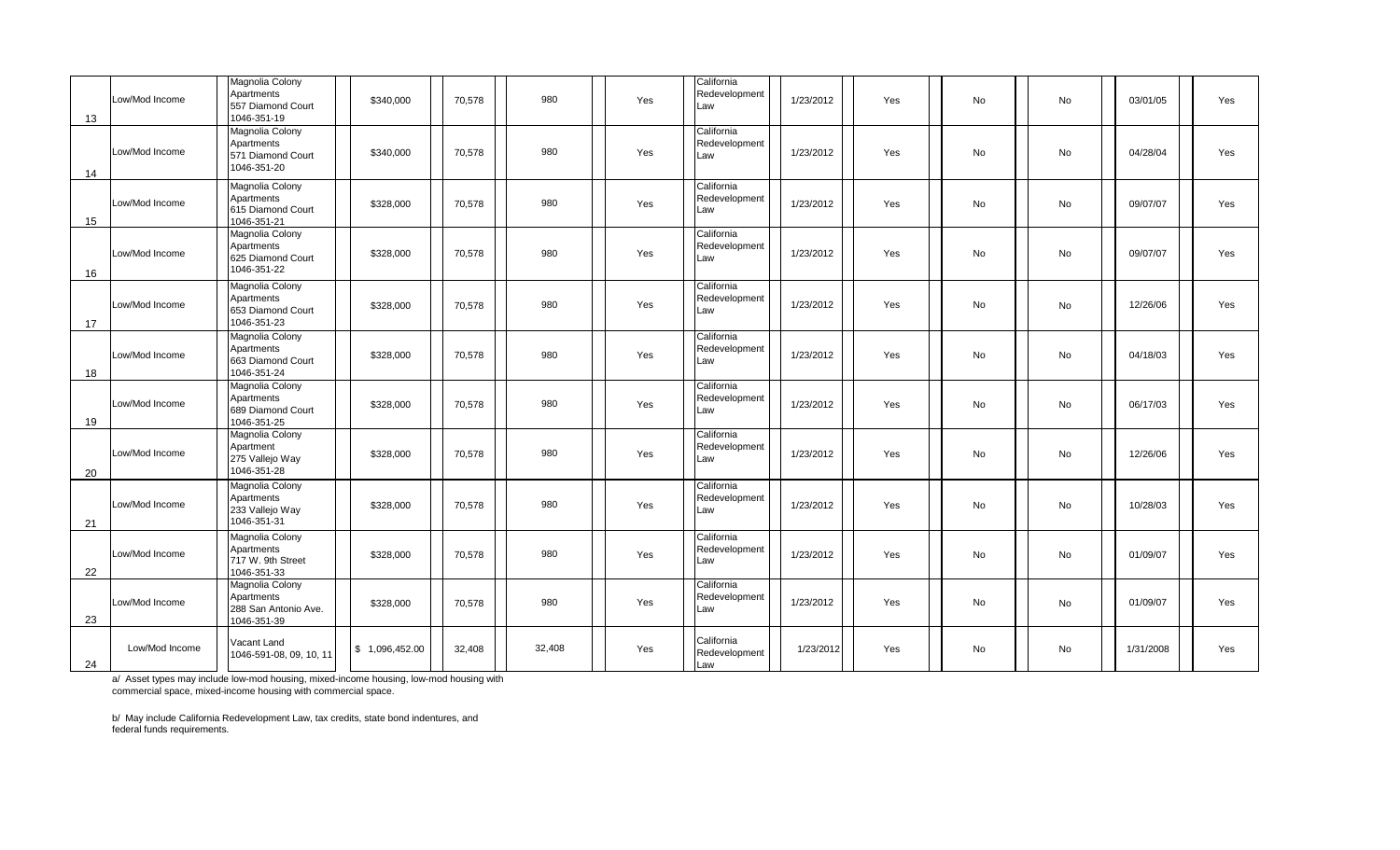| 13 | Low/Mod Income | Magnolia Colony<br>Apartments<br>557 Diamond Court<br>1046-351-19    | \$340,000      | 70,578 | 980    | Yes | California<br>Redevelopment<br>Law | 1/23/2012 | Yes | No        | No        | 03/01/05  | Yes |
|----|----------------|----------------------------------------------------------------------|----------------|--------|--------|-----|------------------------------------|-----------|-----|-----------|-----------|-----------|-----|
| 14 | Low/Mod Income | Magnolia Colony<br>Apartments<br>571 Diamond Court<br>1046-351-20    | \$340,000      | 70,578 | 980    | Yes | California<br>Redevelopment<br>Law | 1/23/2012 | Yes | <b>No</b> | <b>No</b> | 04/28/04  | Yes |
| 15 | Low/Mod Income | Magnolia Colony<br>Apartments<br>615 Diamond Court<br>1046-351-21    | \$328,000      | 70,578 | 980    | Yes | California<br>Redevelopment<br>Law | 1/23/2012 | Yes | No        | No        | 09/07/07  | Yes |
| 16 | Low/Mod Income | Magnolia Colony<br>Apartments<br>625 Diamond Court<br>1046-351-22    | \$328,000      | 70,578 | 980    | Yes | California<br>Redevelopment<br>Law | 1/23/2012 | Yes | No        | No        | 09/07/07  | Yes |
| 17 | Low/Mod Income | Magnolia Colony<br>Apartments<br>653 Diamond Court<br>1046-351-23    | \$328,000      | 70,578 | 980    | Yes | California<br>Redevelopment<br>Law | 1/23/2012 | Yes | No        | No        | 12/26/06  | Yes |
| 18 | Low/Mod Income | Magnolia Colony<br>Apartments<br>663 Diamond Court<br>1046-351-24    | \$328,000      | 70,578 | 980    | Yes | California<br>Redevelopment<br>Law | 1/23/2012 | Yes | No        | No        | 04/18/03  | Yes |
| 19 | Low/Mod Income | Magnolia Colony<br>Apartments<br>689 Diamond Court<br>1046-351-25    | \$328,000      | 70,578 | 980    | Yes | California<br>Redevelopment<br>Law | 1/23/2012 | Yes | No        | No        | 06/17/03  | Yes |
| 20 | Low/Mod Income | Magnolia Colony<br>Apartment<br>275 Vallejo Way<br>1046-351-28       | \$328,000      | 70,578 | 980    | Yes | California<br>Redevelopment<br>Law | 1/23/2012 | Yes | No        | No        | 12/26/06  | Yes |
| 21 | Low/Mod Income | Magnolia Colony<br>Apartments<br>233 Vallejo Way<br>1046-351-31      | \$328,000      | 70,578 | 980    | Yes | California<br>Redevelopment<br>Law | 1/23/2012 | Yes | No        | No        | 10/28/03  | Yes |
| 22 | Low/Mod Income | Magnolia Colony<br>Apartments<br>717 W. 9th Street<br>1046-351-33    | \$328,000      | 70,578 | 980    | Yes | California<br>Redevelopment<br>Law | 1/23/2012 | Yes | <b>No</b> | No        | 01/09/07  | Yes |
| 23 | Low/Mod Income | Magnolia Colony<br>Apartments<br>288 San Antonio Ave.<br>1046-351-39 | \$328,000      | 70,578 | 980    | Yes | California<br>Redevelopment<br>Law | 1/23/2012 | Yes | No        | No        | 01/09/07  | Yes |
| 24 | Low/Mod Income | Vacant Land<br>1046-591-08, 09, 10, 11                               | \$1,096,452.00 | 32,408 | 32,408 | Yes | California<br>Redevelopment<br>Law | 1/23/2012 | Yes | No        | No        | 1/31/2008 | Yes |

a/ Asset types may include low-mod housing, mixed-income housing, low-mod housing with commercial space, mixed-income housing with commercial space.

b/ May include California Redevelopment Law, tax credits, state bond indentures, and federal funds requirements.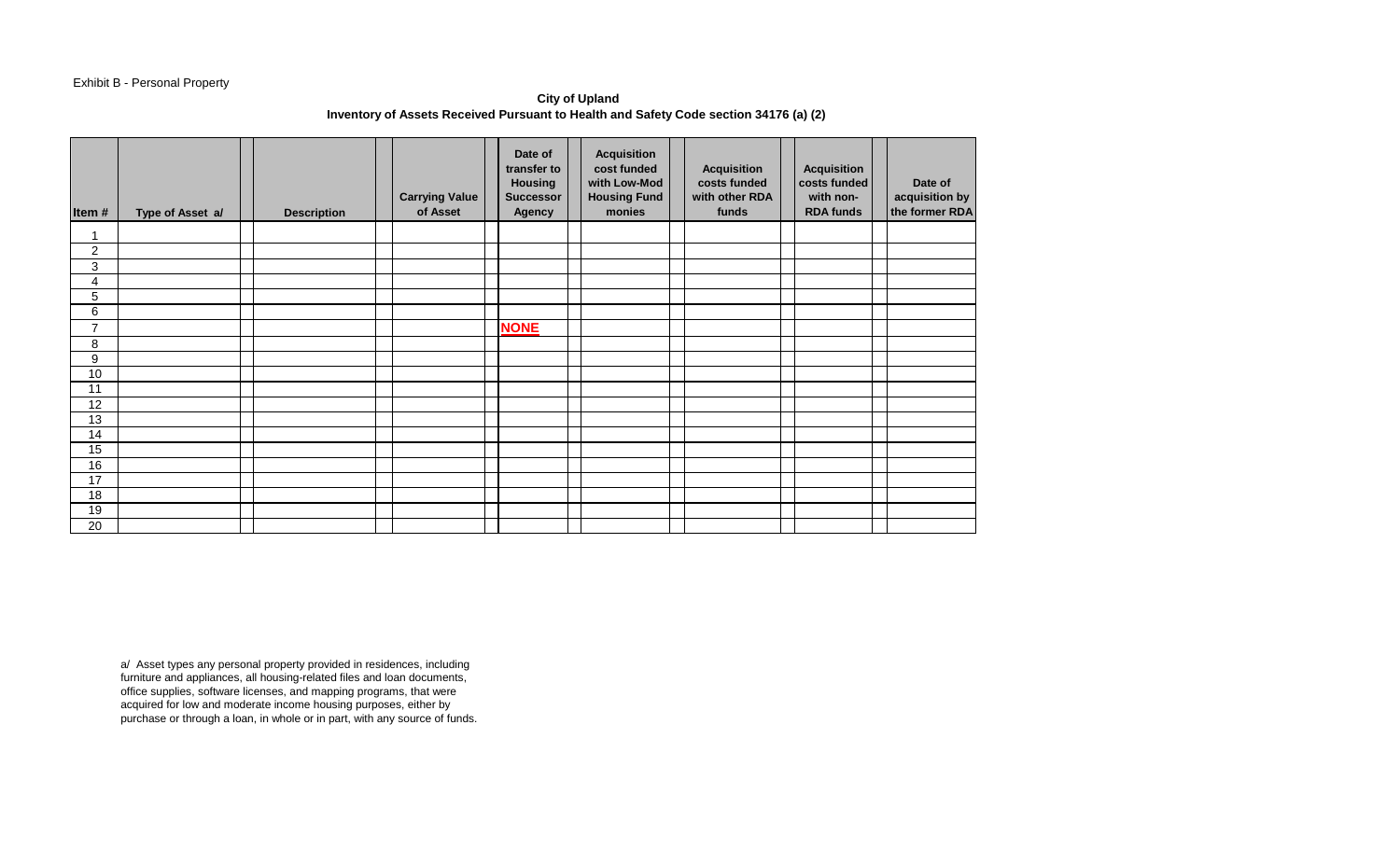## Exhibit B - Personal Property

**City of Upland Inventory of Assets Received Pursuant to Health and Safety Code section 34176 (a) (2)** 

| Item#          | Type of Asset a/ | <b>Description</b> | <b>Carrying Value</b><br>of Asset | Date of<br>transfer to<br><b>Housing</b><br><b>Successor</b><br>Agency | <b>Acquisition</b><br>cost funded<br>with Low-Mod<br><b>Housing Fund</b><br>monies | <b>Acquisition</b><br>costs funded<br>with other RDA<br>funds | <b>Acquisition</b><br>costs funded<br>with non-<br><b>RDA funds</b> | Date of<br>acquisition by<br>the former RDA |
|----------------|------------------|--------------------|-----------------------------------|------------------------------------------------------------------------|------------------------------------------------------------------------------------|---------------------------------------------------------------|---------------------------------------------------------------------|---------------------------------------------|
| 1              |                  |                    |                                   |                                                                        |                                                                                    |                                                               |                                                                     |                                             |
| $\overline{c}$ |                  |                    |                                   |                                                                        |                                                                                    |                                                               |                                                                     |                                             |
| 3              |                  |                    |                                   |                                                                        |                                                                                    |                                                               |                                                                     |                                             |
| 4              |                  |                    |                                   |                                                                        |                                                                                    |                                                               |                                                                     |                                             |
| 5              |                  |                    |                                   |                                                                        |                                                                                    |                                                               |                                                                     |                                             |
| 6              |                  |                    |                                   |                                                                        |                                                                                    |                                                               |                                                                     |                                             |
| $\overline{7}$ |                  |                    |                                   | <b>NONE</b>                                                            |                                                                                    |                                                               |                                                                     |                                             |
| 8              |                  |                    |                                   |                                                                        |                                                                                    |                                                               |                                                                     |                                             |
| 9              |                  |                    |                                   |                                                                        |                                                                                    |                                                               |                                                                     |                                             |
| 10             |                  |                    |                                   |                                                                        |                                                                                    |                                                               |                                                                     |                                             |
| 11             |                  |                    |                                   |                                                                        |                                                                                    |                                                               |                                                                     |                                             |
| 12             |                  |                    |                                   |                                                                        |                                                                                    |                                                               |                                                                     |                                             |
| 13             |                  |                    |                                   |                                                                        |                                                                                    |                                                               |                                                                     |                                             |
| 14             |                  |                    |                                   |                                                                        |                                                                                    |                                                               |                                                                     |                                             |
| 15             |                  |                    |                                   |                                                                        |                                                                                    |                                                               |                                                                     |                                             |
| 16             |                  |                    |                                   |                                                                        |                                                                                    |                                                               |                                                                     |                                             |
| 17             |                  |                    |                                   |                                                                        |                                                                                    |                                                               |                                                                     |                                             |
| 18             |                  |                    |                                   |                                                                        |                                                                                    |                                                               |                                                                     |                                             |
| 19             |                  |                    |                                   |                                                                        |                                                                                    |                                                               |                                                                     |                                             |
| 20             |                  |                    |                                   |                                                                        |                                                                                    |                                                               |                                                                     |                                             |

a/ Asset types any personal property provided in residences, including furniture and appliances, all housing-related files and loan documents, office supplies, software licenses, and mapping programs, that were acquired for low and moderate income housing purposes, either by purchase or through a loan, in whole or in part, with any source of funds.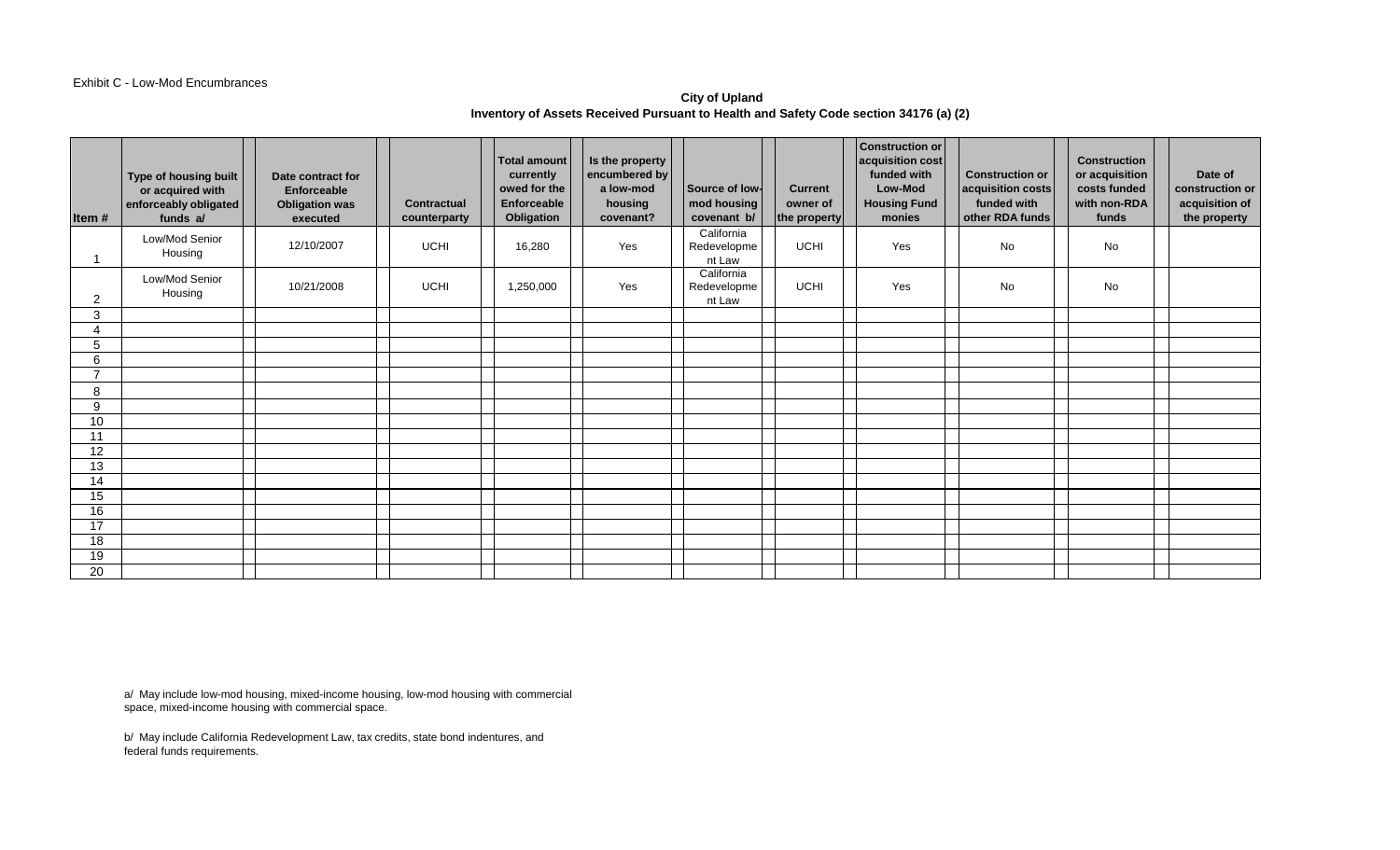#### Exhibit C - Low-Mod Encumbrances

## **City of Upland Inventory of Assets Received Pursuant to Health and Safety Code section 34176 (a) (2)**

| Item $#$       | Type of housing built<br>or acquired with<br>enforceably obligated<br>funds a/ | Date contract for<br>Enforceable<br><b>Obligation was</b><br>executed | Contractual<br>counterparty | <b>Total amount</b><br>currently<br>owed for the<br>Enforceable<br>Obligation | Is the property<br>encumbered by<br>a low-mod<br>housing<br>covenant? | Source of low-<br>mod housing<br>covenant b/ | <b>Current</b><br>owner of<br>the property | <b>Construction or</b><br>acquisition cost<br>funded with<br><b>Low-Mod</b><br><b>Housing Fund</b><br>monies | <b>Construction or</b><br>acquisition costs<br>funded with<br>other RDA funds | <b>Construction</b><br>or acquisition<br>costs funded<br>with non-RDA<br>funds | Date of<br>construction or<br>acquisition of<br>the property |
|----------------|--------------------------------------------------------------------------------|-----------------------------------------------------------------------|-----------------------------|-------------------------------------------------------------------------------|-----------------------------------------------------------------------|----------------------------------------------|--------------------------------------------|--------------------------------------------------------------------------------------------------------------|-------------------------------------------------------------------------------|--------------------------------------------------------------------------------|--------------------------------------------------------------|
|                | Low/Mod Senior<br>Housing                                                      | 12/10/2007                                                            | <b>UCHI</b>                 | 16,280                                                                        | Yes                                                                   | California<br>Redevelopme<br>nt Law          | <b>UCHI</b>                                | Yes                                                                                                          | <b>No</b>                                                                     | No                                                                             |                                                              |
| 2              | Low/Mod Senior<br>Housing                                                      | 10/21/2008                                                            | <b>UCHI</b>                 | 1,250,000                                                                     | Yes                                                                   | California<br>Redevelopme<br>nt Law          | UCHI                                       | Yes                                                                                                          | No                                                                            | No                                                                             |                                                              |
| 3              |                                                                                |                                                                       |                             |                                                                               |                                                                       |                                              |                                            |                                                                                                              |                                                                               |                                                                                |                                                              |
| Δ              |                                                                                |                                                                       |                             |                                                                               |                                                                       |                                              |                                            |                                                                                                              |                                                                               |                                                                                |                                                              |
| 5<br>6         |                                                                                |                                                                       |                             |                                                                               |                                                                       |                                              |                                            |                                                                                                              |                                                                               |                                                                                |                                                              |
| $\overline{ }$ |                                                                                |                                                                       |                             |                                                                               |                                                                       |                                              |                                            |                                                                                                              |                                                                               |                                                                                |                                                              |
| 8              |                                                                                |                                                                       |                             |                                                                               |                                                                       |                                              |                                            |                                                                                                              |                                                                               |                                                                                |                                                              |
| 9              |                                                                                |                                                                       |                             |                                                                               |                                                                       |                                              |                                            |                                                                                                              |                                                                               |                                                                                |                                                              |
| 10             |                                                                                |                                                                       |                             |                                                                               |                                                                       |                                              |                                            |                                                                                                              |                                                                               |                                                                                |                                                              |
| 11             |                                                                                |                                                                       |                             |                                                                               |                                                                       |                                              |                                            |                                                                                                              |                                                                               |                                                                                |                                                              |
| 12             |                                                                                |                                                                       |                             |                                                                               |                                                                       |                                              |                                            |                                                                                                              |                                                                               |                                                                                |                                                              |
| 13             |                                                                                |                                                                       |                             |                                                                               |                                                                       |                                              |                                            |                                                                                                              |                                                                               |                                                                                |                                                              |
| 14             |                                                                                |                                                                       |                             |                                                                               |                                                                       |                                              |                                            |                                                                                                              |                                                                               |                                                                                |                                                              |
| 15             |                                                                                |                                                                       |                             |                                                                               |                                                                       |                                              |                                            |                                                                                                              |                                                                               |                                                                                |                                                              |
| 16             |                                                                                |                                                                       |                             |                                                                               |                                                                       |                                              |                                            |                                                                                                              |                                                                               |                                                                                |                                                              |
| 17             |                                                                                |                                                                       |                             |                                                                               |                                                                       |                                              |                                            |                                                                                                              |                                                                               |                                                                                |                                                              |
| 18             |                                                                                |                                                                       |                             |                                                                               |                                                                       |                                              |                                            |                                                                                                              |                                                                               |                                                                                |                                                              |
| 19             |                                                                                |                                                                       |                             |                                                                               |                                                                       |                                              |                                            |                                                                                                              |                                                                               |                                                                                |                                                              |
| 20             |                                                                                |                                                                       |                             |                                                                               |                                                                       |                                              |                                            |                                                                                                              |                                                                               |                                                                                |                                                              |

a/ May include low-mod housing, mixed-income housing, low-mod housing with commercial space, mixed-income housing with commercial space.

b/ May include California Redevelopment Law, tax credits, state bond indentures, and federal funds requirements.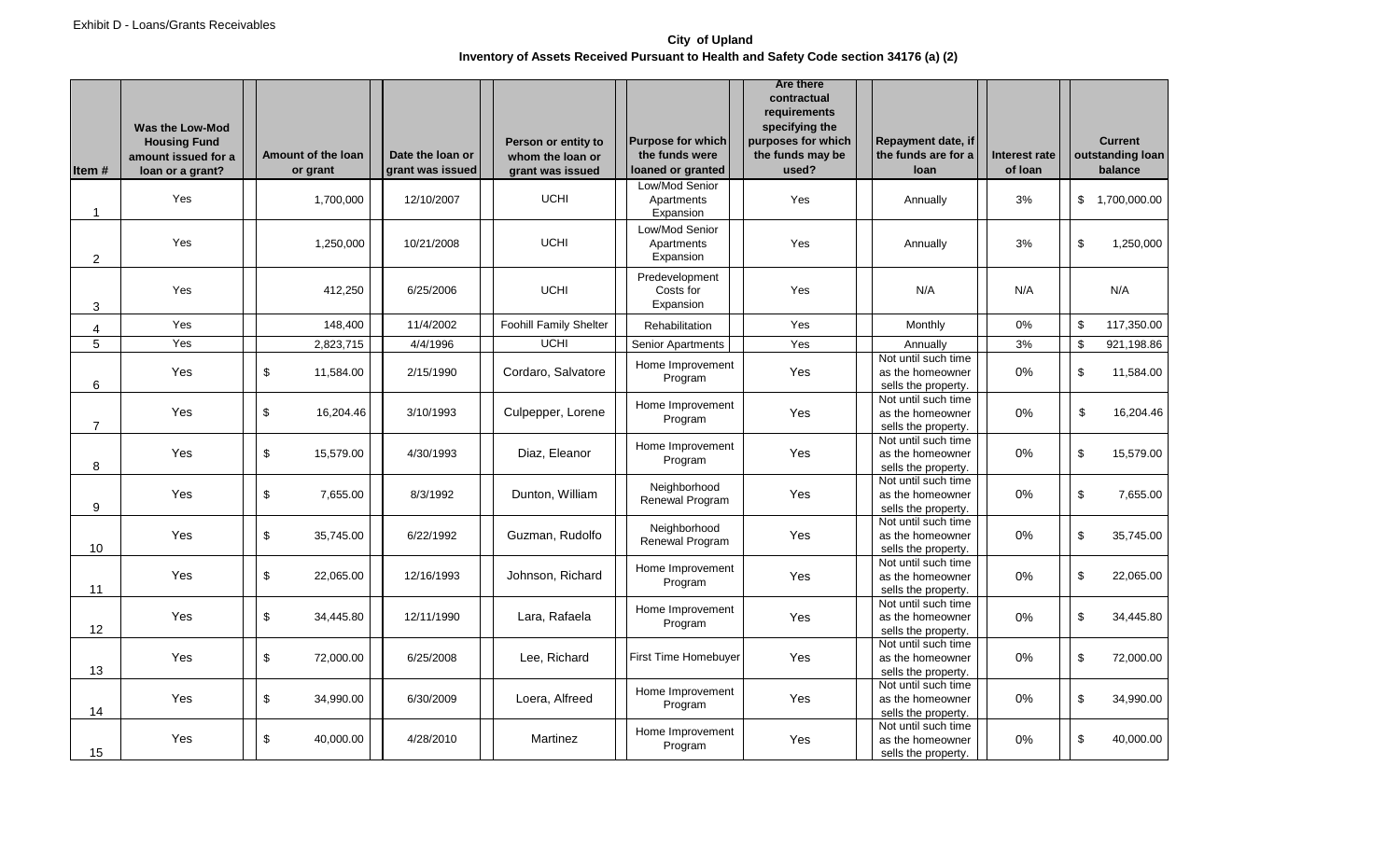### **City of Upland Inventory of Assets Received Pursuant to Health and Safety Code section 34176 (a) (2)**

| ltem #         | <b>Was the Low-Mod</b><br><b>Housing Fund</b><br>amount issued for a<br>loan or a grant? | Amount of the loan<br>or grant | Date the loan or<br>grant was issued | Person or entity to<br>whom the loan or<br>grant was issued | <b>Purpose for which</b><br>the funds were<br>loaned or granted | Are there<br>contractual<br>requirements<br>specifying the<br>purposes for which<br>the funds may be<br>used? | Repayment date, if<br>the funds are for a<br>loan              | Interest rate<br>of Ioan |                | <b>Current</b><br>outstanding loan<br>balance |
|----------------|------------------------------------------------------------------------------------------|--------------------------------|--------------------------------------|-------------------------------------------------------------|-----------------------------------------------------------------|---------------------------------------------------------------------------------------------------------------|----------------------------------------------------------------|--------------------------|----------------|-----------------------------------------------|
| 1              | Yes                                                                                      | 1,700,000                      | 12/10/2007                           | <b>UCHI</b>                                                 | Low/Mod Senior<br>Apartments<br>Expansion                       | Yes                                                                                                           | Annually                                                       | 3%                       |                | \$1,700,000.00                                |
| 2              | Yes                                                                                      | 1,250,000                      | 10/21/2008                           | <b>UCHI</b>                                                 | Low/Mod Senior<br>Apartments<br>Expansion                       | Yes                                                                                                           | Annually                                                       | 3%                       | \$             | 1,250,000                                     |
| 3              | Yes                                                                                      | 412,250                        | 6/25/2006                            | <b>UCHI</b>                                                 | Predevelopment<br>Costs for<br>Expansion                        | Yes                                                                                                           | N/A                                                            | N/A                      |                | N/A                                           |
| 4              | Yes                                                                                      | 148,400                        | 11/4/2002                            | Foohill Family Shelter                                      | Rehabilitation                                                  | Yes                                                                                                           | Monthly                                                        | 0%                       | \$             | 117,350.00                                    |
| $\overline{5}$ | Yes                                                                                      | 2,823,715                      | 4/4/1996                             | <b>UCHI</b>                                                 | Senior Apartments                                               | Yes                                                                                                           | Annually                                                       | 3%                       | \$             | 921,198.86                                    |
| 6              | Yes                                                                                      | \$<br>11,584.00                | 2/15/1990                            | Cordaro, Salvatore                                          | Home Improvement<br>Program                                     | Yes                                                                                                           | Not until such time<br>as the homeowner<br>sells the property. | $0\%$                    | \$             | 11,584.00                                     |
| $\overline{7}$ | Yes                                                                                      | \$<br>16,204.46                | 3/10/1993                            | Culpepper, Lorene                                           | Home Improvement<br>Program                                     | Yes                                                                                                           | Not until such time<br>as the homeowner<br>sells the property. | $0\%$                    | \$             | 16,204.46                                     |
| 8              | Yes                                                                                      | \$<br>15,579.00                | 4/30/1993                            | Diaz, Eleanor                                               | Home Improvement<br>Program                                     | Yes                                                                                                           | Not until such time<br>as the homeowner<br>sells the property. | 0%                       | \$             | 15,579.00                                     |
| 9              | Yes                                                                                      | $\,$<br>7,655.00               | 8/3/1992                             | Dunton, William                                             | Neighborhood<br>Renewal Program                                 | Yes                                                                                                           | Not until such time<br>as the homeowner<br>sells the property. | 0%                       | \$             | 7,655.00                                      |
| 10             | Yes                                                                                      | \$<br>35,745.00                | 6/22/1992                            | Guzman, Rudolfo                                             | Neighborhood<br>Renewal Program                                 | Yes                                                                                                           | Not until such time<br>as the homeowner<br>sells the property. | 0%                       | \$             | 35,745.00                                     |
| 11             | Yes                                                                                      | $$\mathbb{S}$$<br>22,065.00    | 12/16/1993                           | Johnson, Richard                                            | Home Improvement<br>Program                                     | Yes                                                                                                           | Not until such time<br>as the homeowner<br>sells the property. | 0%                       | $\mathfrak{S}$ | 22,065.00                                     |
| 12             | Yes                                                                                      | \$<br>34,445.80                | 12/11/1990                           | Lara, Rafaela                                               | Home Improvement<br>Program                                     | Yes                                                                                                           | Not until such time<br>as the homeowner<br>sells the property. | 0%                       | \$             | 34,445.80                                     |
| 13             | Yes                                                                                      | $\,$<br>72,000.00              | 6/25/2008                            | Lee, Richard                                                | First Time Homebuyer                                            | Yes                                                                                                           | Not until such time<br>as the homeowner<br>sells the property. | 0%                       | \$             | 72,000.00                                     |
| 14             | Yes                                                                                      | \$<br>34,990.00                | 6/30/2009                            | Loera, Alfreed                                              | Home Improvement<br>Program                                     | Yes                                                                                                           | Not until such time<br>as the homeowner<br>sells the property. | 0%                       | \$             | 34,990.00                                     |
| 15             | Yes                                                                                      | \$<br>40,000.00                | 4/28/2010                            | Martinez                                                    | Home Improvement<br>Program                                     | Yes                                                                                                           | Not until such time<br>as the homeowner<br>sells the property. | 0%                       | \$             | 40,000.00                                     |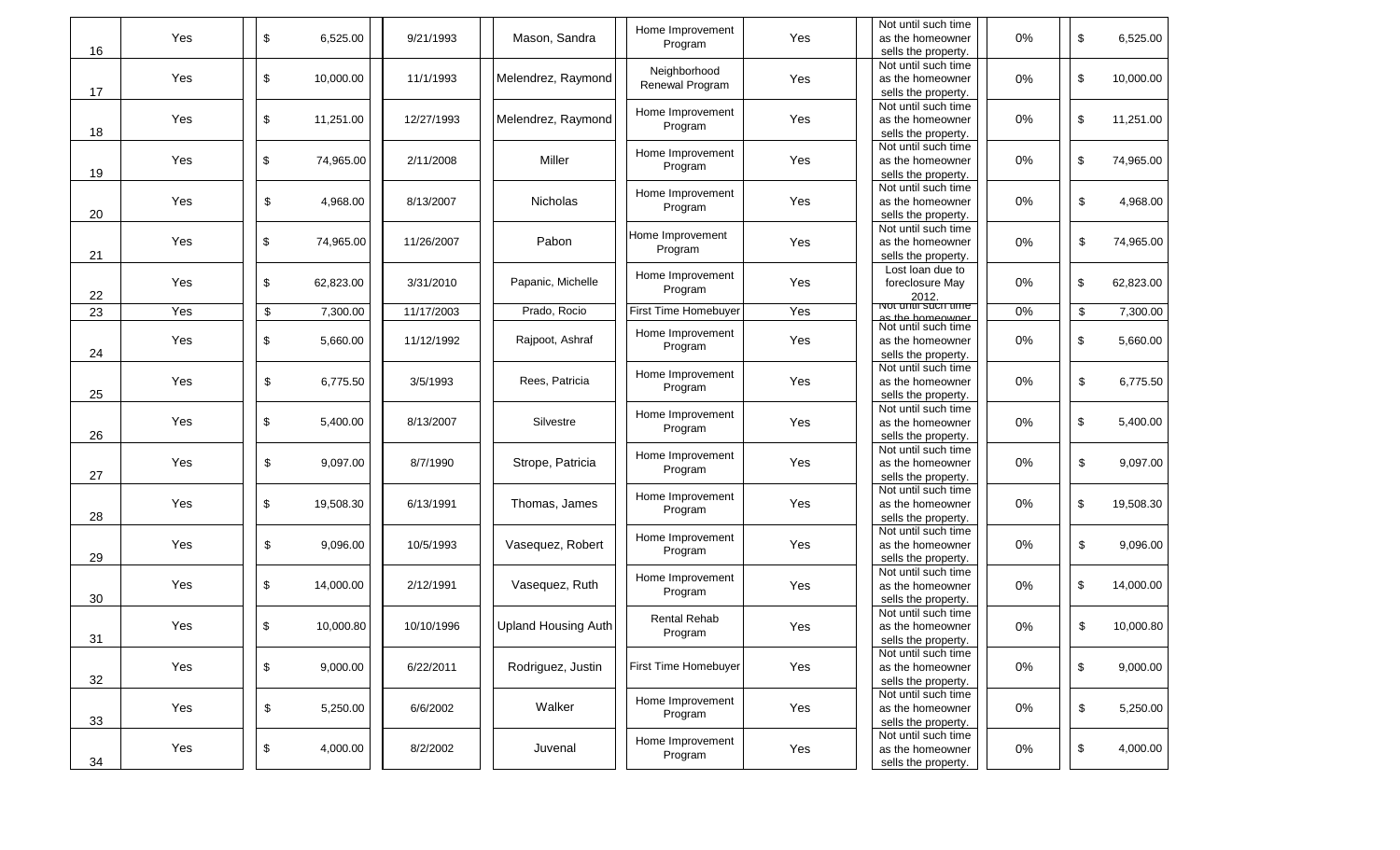| 16 | Yes | \$                        | 6,525.00  | 9/21/1993  | Mason, Sandra       | Home Improvement<br>Program     | Yes | Not until such time<br>as the homeowner<br>sells the property.      | 0%    | \$<br>6,525.00  |
|----|-----|---------------------------|-----------|------------|---------------------|---------------------------------|-----|---------------------------------------------------------------------|-------|-----------------|
| 17 | Yes | \$                        | 10,000.00 | 11/1/1993  | Melendrez, Raymond  | Neighborhood<br>Renewal Program | Yes | Not until such time<br>as the homeowner<br>sells the property.      | 0%    | \$<br>10,000.00 |
| 18 | Yes | \$                        | 11,251.00 | 12/27/1993 | Melendrez, Raymond  | Home Improvement<br>Program     | Yes | Not until such time<br>as the homeowner<br>sells the property.      | $0\%$ | \$<br>11,251.00 |
| 19 | Yes | \$                        | 74,965.00 | 2/11/2008  | Miller              | Home Improvement<br>Program     | Yes | Not until such time<br>as the homeowner<br>sells the property.      | 0%    | \$<br>74,965.00 |
| 20 | Yes | \$                        | 4,968.00  | 8/13/2007  | Nicholas            | Home Improvement<br>Program     | Yes | Not until such time<br>as the homeowner<br>sells the property.      | 0%    | \$<br>4,968.00  |
| 21 | Yes | \$                        | 74,965.00 | 11/26/2007 | Pabon               | Home Improvement<br>Program     | Yes | Not until such time<br>as the homeowner<br>sells the property.      | 0%    | \$<br>74,965.00 |
| 22 | Yes | \$                        | 62,823.00 | 3/31/2010  | Papanic, Michelle   | Home Improvement<br>Program     | Yes | Lost loan due to<br>foreclosure May<br>2012.<br>Not until such time | 0%    | \$<br>62,823.00 |
| 23 | Yes | $\boldsymbol{\mathsf{S}}$ | 7,300.00  | 11/17/2003 | Prado, Rocio        | First Time Homebuyer            | Yes | ac the homeowner                                                    | 0%    | \$<br>7,300.00  |
| 24 | Yes | \$                        | 5,660.00  | 11/12/1992 | Rajpoot, Ashraf     | Home Improvement<br>Program     | Yes | Not until such time<br>as the homeowner<br>sells the property.      | 0%    | \$<br>5,660.00  |
| 25 | Yes | \$                        | 6,775.50  | 3/5/1993   | Rees, Patricia      | Home Improvement<br>Program     | Yes | Not until such time<br>as the homeowner<br>sells the property.      | 0%    | \$<br>6,775.50  |
| 26 | Yes | \$                        | 5,400.00  | 8/13/2007  | Silvestre           | Home Improvement<br>Program     | Yes | Not until such time<br>as the homeowner<br>sells the property.      | 0%    | \$<br>5,400.00  |
| 27 | Yes | \$                        | 9,097.00  | 8/7/1990   | Strope, Patricia    | Home Improvement<br>Program     | Yes | Not until such time<br>as the homeowner<br>sells the property.      | $0\%$ | \$<br>9,097.00  |
| 28 | Yes | \$                        | 19,508.30 | 6/13/1991  | Thomas, James       | Home Improvement<br>Program     | Yes | Not until such time<br>as the homeowner<br>sells the property.      | 0%    | \$<br>19,508.30 |
| 29 | Yes | \$                        | 9,096.00  | 10/5/1993  | Vasequez, Robert    | Home Improvement<br>Program     | Yes | Not until such time<br>as the homeowner<br>sells the property.      | 0%    | \$<br>9,096.00  |
| 30 | Yes | \$                        | 14,000.00 | 2/12/1991  | Vasequez, Ruth      | Home Improvement<br>Program     | Yes | Not until such time<br>as the homeowner<br>sells the property.      | $0\%$ | \$<br>14,000.00 |
| 31 | Yes | \$                        | 10,000.80 | 10/10/1996 | Upland Housing Auth | <b>Rental Rehab</b><br>Program  | Yes | Not until such time<br>as the homeowner<br>sells the property.      | 0%    | \$<br>10,000.80 |
| 32 | Yes | $\,$                      | 9,000.00  | 6/22/2011  | Rodriguez, Justin   | First Time Homebuyer            | Yes | Not until such time<br>as the homeowner<br>sells the property.      | $0\%$ | \$<br>9,000.00  |
| 33 | Yes | $\boldsymbol{\mathsf{S}}$ | 5,250.00  | 6/6/2002   | Walker              | Home Improvement<br>Program     | Yes | Not until such time<br>as the homeowner<br>sells the property.      | 0%    | \$<br>5,250.00  |
| 34 | Yes | $\mathbb{S}$              | 4,000.00  | 8/2/2002   | Juvenal             | Home Improvement<br>Program     | Yes | Not until such time<br>as the homeowner<br>sells the property.      | 0%    | \$<br>4,000.00  |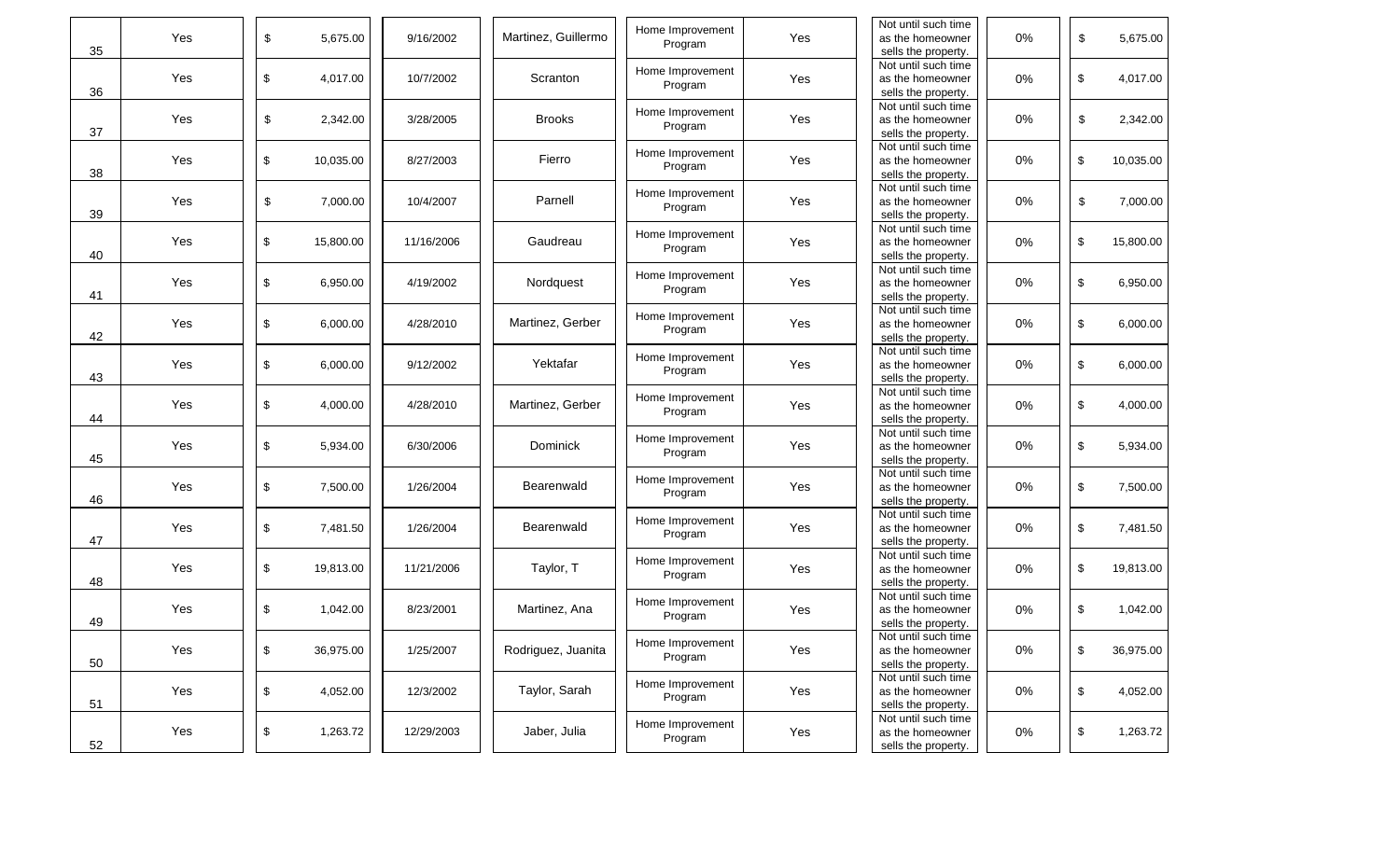| 35 | Yes | \$                                        | 5,675.00  | 9/16/2002  | Martinez, Guillermo | Home Improvement<br>Program | Yes | Not until such time<br>as the homeowner<br>sells the property. | 0% | \$                      | 5,675.00  |
|----|-----|-------------------------------------------|-----------|------------|---------------------|-----------------------------|-----|----------------------------------------------------------------|----|-------------------------|-----------|
| 36 | Yes | \$                                        | 4,017.00  | 10/7/2002  | Scranton            | Home Improvement<br>Program | Yes | Not until such time<br>as the homeowner<br>sells the property. | 0% | \$                      | 4,017.00  |
| 37 | Yes | $\,$                                      | 2,342.00  | 3/28/2005  | <b>Brooks</b>       | Home Improvement<br>Program | Yes | Not until such time<br>as the homeowner<br>sells the property. | 0% | \$                      | 2,342.00  |
| 38 | Yes | \$                                        | 10,035.00 | 8/27/2003  | Fierro              | Home Improvement<br>Program | Yes | Not until such time<br>as the homeowner<br>sells the property. | 0% | $\sqrt[6]{\frac{1}{2}}$ | 10,035.00 |
| 39 | Yes | \$                                        | 7,000.00  | 10/4/2007  | Parnell             | Home Improvement<br>Program | Yes | Not until such time<br>as the homeowner<br>sells the property. | 0% | \$                      | 7,000.00  |
| 40 | Yes | \$                                        | 15,800.00 | 11/16/2006 | Gaudreau            | Home Improvement<br>Program | Yes | Not until such time<br>as the homeowner<br>sells the property. | 0% | \$                      | 15,800.00 |
| 41 | Yes | \$                                        | 6,950.00  | 4/19/2002  | Nordquest           | Home Improvement<br>Program | Yes | Not until such time<br>as the homeowner<br>sells the property. | 0% | \$                      | 6,950.00  |
| 42 | Yes | \$                                        | 6,000.00  | 4/28/2010  | Martinez, Gerber    | Home Improvement<br>Program | Yes | Not until such time<br>as the homeowner<br>sells the property. | 0% | \$                      | 6,000.00  |
| 43 | Yes | \$                                        | 6,000.00  | 9/12/2002  | Yektafar            | Home Improvement<br>Program | Yes | Not until such time<br>as the homeowner<br>sells the property. | 0% | \$                      | 6,000.00  |
| 44 | Yes | \$                                        | 4,000.00  | 4/28/2010  | Martinez, Gerber    | Home Improvement<br>Program | Yes | Not until such time<br>as the homeowner<br>sells the property. | 0% | \$                      | 4,000.00  |
| 45 | Yes | \$                                        | 5,934.00  | 6/30/2006  | Dominick            | Home Improvement<br>Program | Yes | Not until such time<br>as the homeowner<br>sells the property. | 0% | \$                      | 5,934.00  |
| 46 | Yes | \$                                        | 7,500.00  | 1/26/2004  | Bearenwald          | Home Improvement<br>Program | Yes | Not until such time<br>as the homeowner<br>sells the property. | 0% | \$                      | 7,500.00  |
| 47 | Yes | \$                                        | 7,481.50  | 1/26/2004  | Bearenwald          | Home Improvement<br>Program | Yes | Not until such time<br>as the homeowner<br>sells the property. | 0% | \$                      | 7,481.50  |
| 48 | Yes | \$                                        | 19,813.00 | 11/21/2006 | Taylor, T           | Home Improvement<br>Program | Yes | Not until such time<br>as the homeowner<br>sells the property. | 0% | \$                      | 19,813.00 |
| 49 | Yes | \$                                        | 1,042.00  | 8/23/2001  | Martinez, Ana       | Home Improvement<br>Program | Yes | Not until such time<br>as the homeowner<br>sells the property. | 0% | \$                      | 1,042.00  |
| 50 | Yes | \$                                        | 36,975.00 | 1/25/2007  | Rodriguez, Juanita  | Home Improvement<br>Program | Yes | Not until such time<br>as the homeowner<br>sells the property. | 0% | \$                      | 36,975.00 |
| 51 | Yes | \$                                        | 4,052.00  | 12/3/2002  | Taylor, Sarah       | Home Improvement<br>Program | Yes | Not until such time<br>as the homeowner<br>sells the property. | 0% | \$                      | 4,052.00  |
| 52 | Yes | $\, \, \raisebox{12pt}{$\scriptstyle \$}$ | 1,263.72  | 12/29/2003 | Jaber, Julia        | Home Improvement<br>Program | Yes | Not until such time<br>as the homeowner<br>sells the property. | 0% | \$                      | 1,263.72  |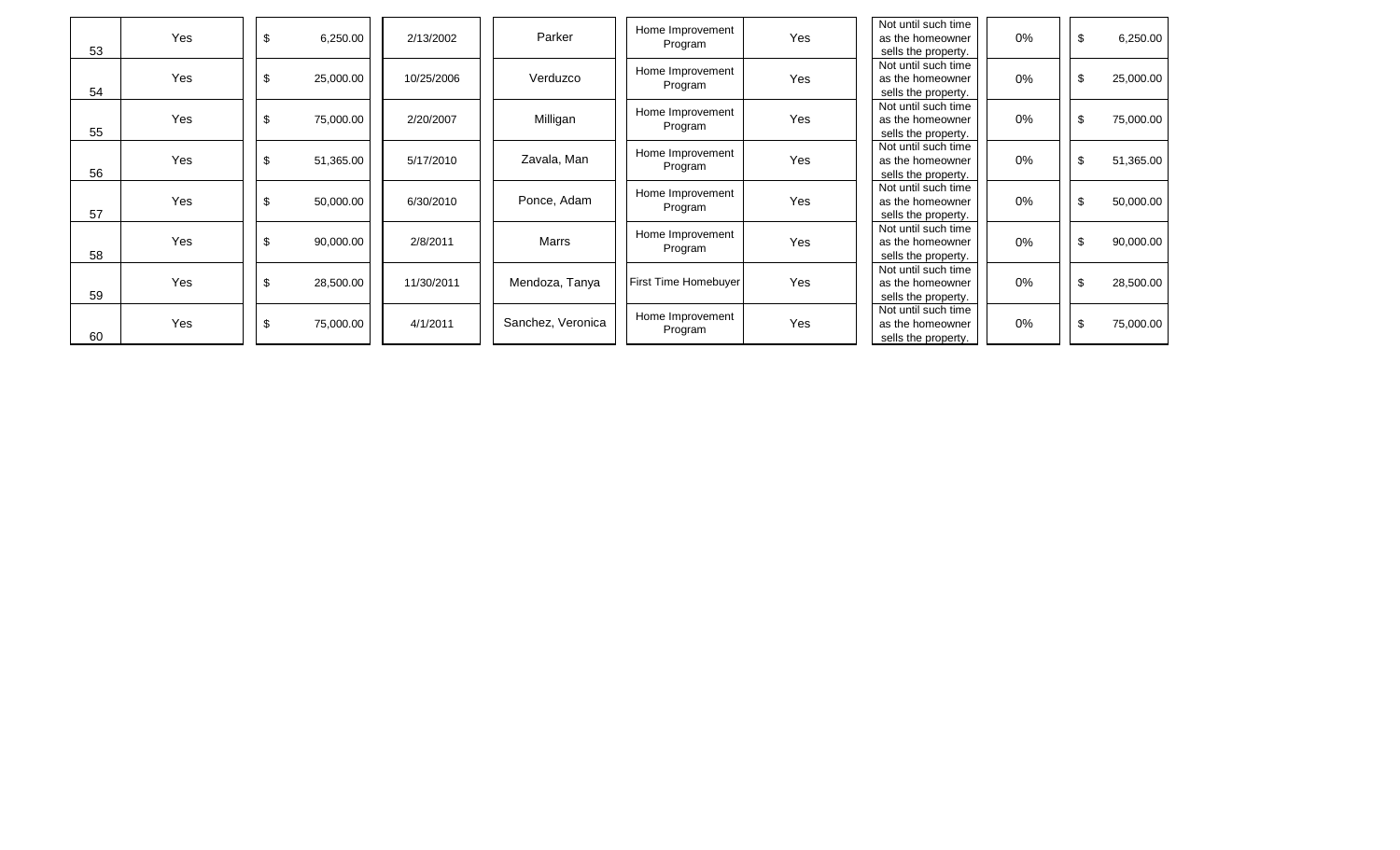|    |     |                 |            |                   |                             |     | Not until such time |       |                 |
|----|-----|-----------------|------------|-------------------|-----------------------------|-----|---------------------|-------|-----------------|
|    | Yes | \$<br>6,250.00  | 2/13/2002  | Parker            | Home Improvement<br>Program | Yes | as the homeowner    | $0\%$ | \$<br>6,250.00  |
| 53 |     |                 |            |                   |                             |     | sells the property. |       |                 |
|    |     |                 |            |                   | Home Improvement            |     | Not until such time |       |                 |
|    | Yes | \$<br>25,000.00 | 10/25/2006 | Verduzco          | Program                     | Yes | as the homeowner    | 0%    | \$<br>25,000.00 |
| 54 |     |                 |            |                   |                             |     | sells the property. |       |                 |
|    |     |                 |            |                   | Home Improvement            |     | Not until such time |       |                 |
|    | Yes | \$<br>75,000.00 | 2/20/2007  | Milligan          | Program                     | Yes | as the homeowner    | 0%    | \$<br>75,000.00 |
| 55 |     |                 |            |                   |                             |     | sells the property. |       |                 |
|    |     |                 |            |                   | Home Improvement            |     | Not until such time |       |                 |
|    | Yes | \$<br>51,365.00 | 5/17/2010  | Zavala, Man       | Program                     | Yes | as the homeowner    | 0%    | \$<br>51,365.00 |
| 56 |     |                 |            |                   |                             |     | sells the property. |       |                 |
|    |     |                 |            |                   | Home Improvement            |     | Not until such time |       |                 |
|    | Yes | \$<br>50,000.00 | 6/30/2010  | Ponce, Adam       | Program                     | Yes | as the homeowner    | 0%    | \$<br>50,000.00 |
| 57 |     |                 |            |                   |                             |     | sells the property. |       |                 |
|    |     |                 |            |                   | Home Improvement            |     | Not until such time |       |                 |
|    | Yes | \$<br>90,000.00 | 2/8/2011   | Marrs             | Program                     | Yes | as the homeowner    | 0%    | \$<br>90,000.00 |
| 58 |     |                 |            |                   |                             |     | sells the property. |       |                 |
|    |     |                 |            |                   |                             |     | Not until such time |       |                 |
|    | Yes | \$<br>28,500.00 | 11/30/2011 | Mendoza, Tanya    | <b>First Time Homebuyer</b> | Yes | as the homeowner    | 0%    | \$<br>28,500.00 |
| 59 |     |                 |            |                   |                             |     | sells the property. |       |                 |
|    |     |                 |            |                   | Home Improvement            |     | Not until such time |       |                 |
|    | Yes | \$<br>75,000.00 | 4/1/2011   | Sanchez, Veronica | Program                     | Yes | as the homeowner    | $0\%$ | \$<br>75,000.00 |
| 60 |     |                 |            |                   |                             |     | sells the property. |       |                 |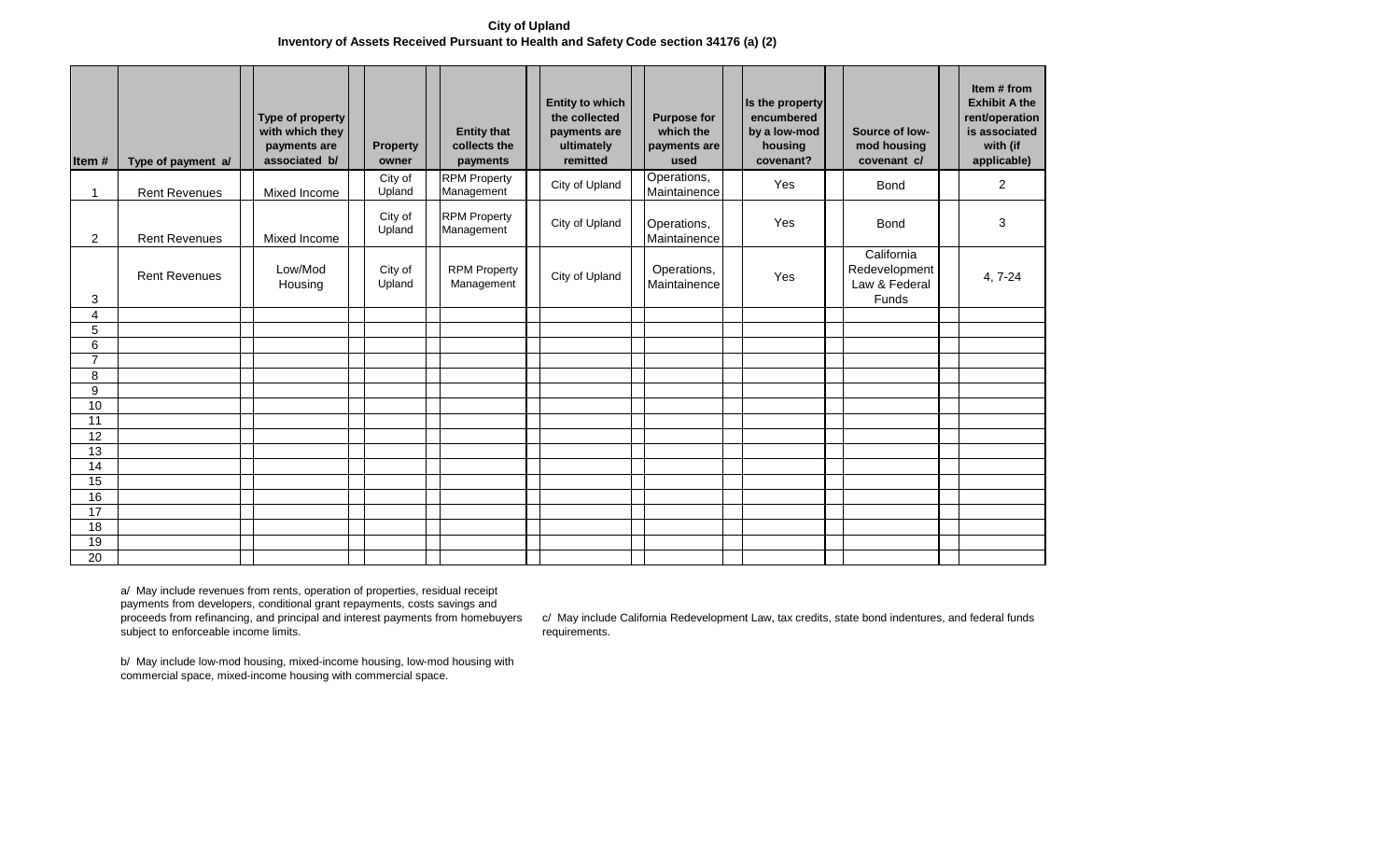**City of Upland Inventory of Assets Received Pursuant to Health and Safety Code section 34176 (a) (2)** 

| Item#               | Type of payment a/   | Type of property<br>with which they<br>payments are<br>associated b/ | <b>Property</b><br>owner | <b>Entity that</b><br>collects the<br>payments | <b>Entity to which</b><br>the collected<br>payments are<br>ultimately<br>remitted | <b>Purpose for</b><br>which the<br>payments are<br>used | Is the property<br>encumbered<br>by a low-mod<br>housing<br>covenant? | Source of low-<br>mod housing<br>covenant c/          | Item # from<br><b>Exhibit A the</b><br>rent/operation<br>is associated<br>with (if<br>applicable) |
|---------------------|----------------------|----------------------------------------------------------------------|--------------------------|------------------------------------------------|-----------------------------------------------------------------------------------|---------------------------------------------------------|-----------------------------------------------------------------------|-------------------------------------------------------|---------------------------------------------------------------------------------------------------|
| $\mathbf 1$         | <b>Rent Revenues</b> | Mixed Income                                                         | City of<br>Upland        | <b>RPM Property</b><br>Management              | City of Upland                                                                    | Operations,<br>Maintainence                             | Yes                                                                   | <b>Bond</b>                                           | 2                                                                                                 |
| $\overline{2}$      | <b>Rent Revenues</b> | Mixed Income                                                         | City of<br>Upland        | <b>RPM Property</b><br>Management              | City of Upland                                                                    | Operations,<br>Maintainence                             | Yes                                                                   | <b>Bond</b>                                           | 3                                                                                                 |
| 3                   | <b>Rent Revenues</b> | Low/Mod<br>Housing                                                   | City of<br>Upland        | <b>RPM Property</b><br>Management              | City of Upland                                                                    | Operations,<br>Maintainence                             | Yes                                                                   | California<br>Redevelopment<br>Law & Federal<br>Funds | 4, 7-24                                                                                           |
| 4                   |                      |                                                                      |                          |                                                |                                                                                   |                                                         |                                                                       |                                                       |                                                                                                   |
| 5                   |                      |                                                                      |                          |                                                |                                                                                   |                                                         |                                                                       |                                                       |                                                                                                   |
| 6                   |                      |                                                                      |                          |                                                |                                                                                   |                                                         |                                                                       |                                                       |                                                                                                   |
| $\overline{7}$<br>8 |                      |                                                                      |                          |                                                |                                                                                   |                                                         |                                                                       |                                                       |                                                                                                   |
| $\boldsymbol{9}$    |                      |                                                                      |                          |                                                |                                                                                   |                                                         |                                                                       |                                                       |                                                                                                   |
| 10                  |                      |                                                                      |                          |                                                |                                                                                   |                                                         |                                                                       |                                                       |                                                                                                   |
| 11                  |                      |                                                                      |                          |                                                |                                                                                   |                                                         |                                                                       |                                                       |                                                                                                   |
| 12                  |                      |                                                                      |                          |                                                |                                                                                   |                                                         |                                                                       |                                                       |                                                                                                   |
| 13                  |                      |                                                                      |                          |                                                |                                                                                   |                                                         |                                                                       |                                                       |                                                                                                   |
| 14                  |                      |                                                                      |                          |                                                |                                                                                   |                                                         |                                                                       |                                                       |                                                                                                   |
| 15                  |                      |                                                                      |                          |                                                |                                                                                   |                                                         |                                                                       |                                                       |                                                                                                   |
| 16                  |                      |                                                                      |                          |                                                |                                                                                   |                                                         |                                                                       |                                                       |                                                                                                   |
| 17                  |                      |                                                                      |                          |                                                |                                                                                   |                                                         |                                                                       |                                                       |                                                                                                   |
| 18                  |                      |                                                                      |                          |                                                |                                                                                   |                                                         |                                                                       |                                                       |                                                                                                   |
| 19                  |                      |                                                                      |                          |                                                |                                                                                   |                                                         |                                                                       |                                                       |                                                                                                   |
| 20                  |                      |                                                                      |                          |                                                |                                                                                   |                                                         |                                                                       |                                                       |                                                                                                   |

a/ May include revenues from rents, operation of properties, residual receipt payments from developers, conditional grant repayments, costs savings and proceeds from refinancing, and principal and interest payments from homebuyers subject to enforceable income limits.

c/ May include California Redevelopment Law, tax credits, state bond indentures, and federal funds requirements.

b/ May include low-mod housing, mixed-income housing, low-mod housing with commercial space, mixed-income housing with commercial space.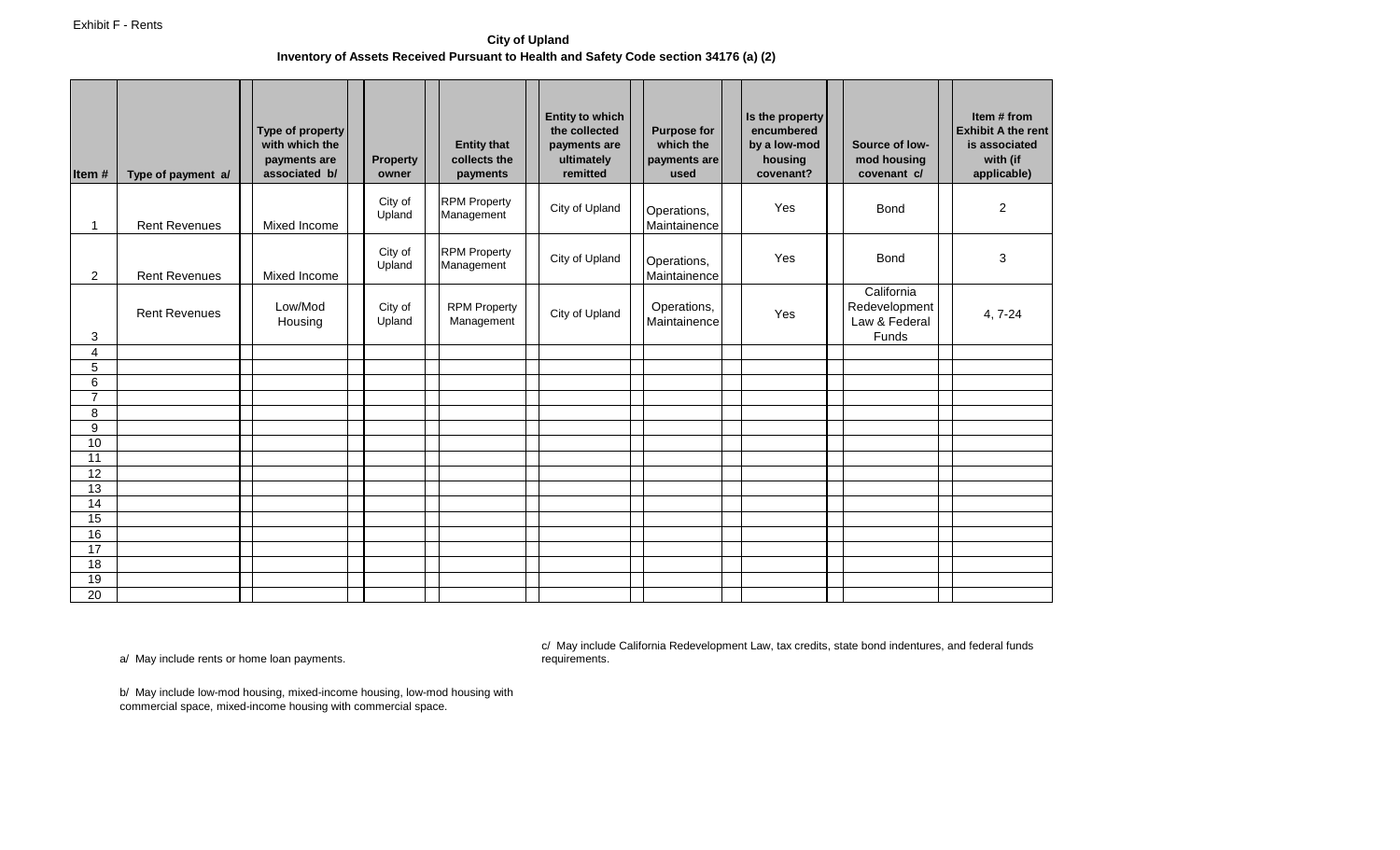**City of Upland Inventory of Assets Received Pursuant to Health and Safety Code section 34176 (a) (2)** 

| Item#               | Type of payment a/   | Type of property<br>with which the<br>payments are<br>associated b/ | <b>Property</b><br>owner | <b>Entity that</b><br>collects the<br>payments | <b>Entity to which</b><br>the collected<br>payments are<br>ultimately<br>remitted | <b>Purpose for</b><br>which the<br>payments are<br>used | Is the property<br>encumbered<br>by a low-mod<br>housing<br>covenant? | Source of low-<br>mod housing<br>covenant c/                 | Item # from<br><b>Exhibit A the rent</b><br>is associated<br>with (if<br>applicable) |
|---------------------|----------------------|---------------------------------------------------------------------|--------------------------|------------------------------------------------|-----------------------------------------------------------------------------------|---------------------------------------------------------|-----------------------------------------------------------------------|--------------------------------------------------------------|--------------------------------------------------------------------------------------|
| $\mathbf{1}$        | <b>Rent Revenues</b> | Mixed Income                                                        | City of<br>Upland        | <b>RPM Property</b><br>Management              | City of Upland                                                                    | Operations,<br>Maintainence                             | Yes                                                                   | <b>Bond</b>                                                  | $\mathbf{2}$                                                                         |
| $\overline{2}$      | <b>Rent Revenues</b> | Mixed Income                                                        | City of<br>Upland        | <b>RPM Property</b><br>Management              | City of Upland                                                                    | Operations,<br>Maintainence                             | Yes                                                                   | <b>Bond</b>                                                  | 3                                                                                    |
| 3                   | <b>Rent Revenues</b> | Low/Mod<br>Housing                                                  | City of<br>Upland        | <b>RPM Property</b><br>Management              | City of Upland                                                                    | Operations,<br>Maintainence                             | Yes                                                                   | California<br>Redevelopment<br>Law & Federal<br><b>Funds</b> | 4, 7-24                                                                              |
| $\overline{4}$      |                      |                                                                     |                          |                                                |                                                                                   |                                                         |                                                                       |                                                              |                                                                                      |
| 5                   |                      |                                                                     |                          |                                                |                                                                                   |                                                         |                                                                       |                                                              |                                                                                      |
| 6<br>$\overline{7}$ |                      |                                                                     |                          |                                                |                                                                                   |                                                         |                                                                       |                                                              |                                                                                      |
| 8                   |                      |                                                                     |                          |                                                |                                                                                   |                                                         |                                                                       |                                                              |                                                                                      |
| 9                   |                      |                                                                     |                          |                                                |                                                                                   |                                                         |                                                                       |                                                              |                                                                                      |
| 10                  |                      |                                                                     |                          |                                                |                                                                                   |                                                         |                                                                       |                                                              |                                                                                      |
| 11                  |                      |                                                                     |                          |                                                |                                                                                   |                                                         |                                                                       |                                                              |                                                                                      |
| $\overline{12}$     |                      |                                                                     |                          |                                                |                                                                                   |                                                         |                                                                       |                                                              |                                                                                      |
| 13                  |                      |                                                                     |                          |                                                |                                                                                   |                                                         |                                                                       |                                                              |                                                                                      |
| 14                  |                      |                                                                     |                          |                                                |                                                                                   |                                                         |                                                                       |                                                              |                                                                                      |
| 15                  |                      |                                                                     |                          |                                                |                                                                                   |                                                         |                                                                       |                                                              |                                                                                      |
| 16                  |                      |                                                                     |                          |                                                |                                                                                   |                                                         |                                                                       |                                                              |                                                                                      |
| 17<br>18            |                      |                                                                     |                          |                                                |                                                                                   |                                                         |                                                                       |                                                              |                                                                                      |
| 19                  |                      |                                                                     |                          |                                                |                                                                                   |                                                         |                                                                       |                                                              |                                                                                      |
| 20                  |                      |                                                                     |                          |                                                |                                                                                   |                                                         |                                                                       |                                                              |                                                                                      |
|                     |                      |                                                                     |                          |                                                |                                                                                   |                                                         |                                                                       |                                                              |                                                                                      |

a/ May include rents or home loan payments.

c/ May include California Redevelopment Law, tax credits, state bond indentures, and federal funds requirements.

b/ May include low-mod housing, mixed-income housing, low-mod housing with commercial space, mixed-income housing with commercial space.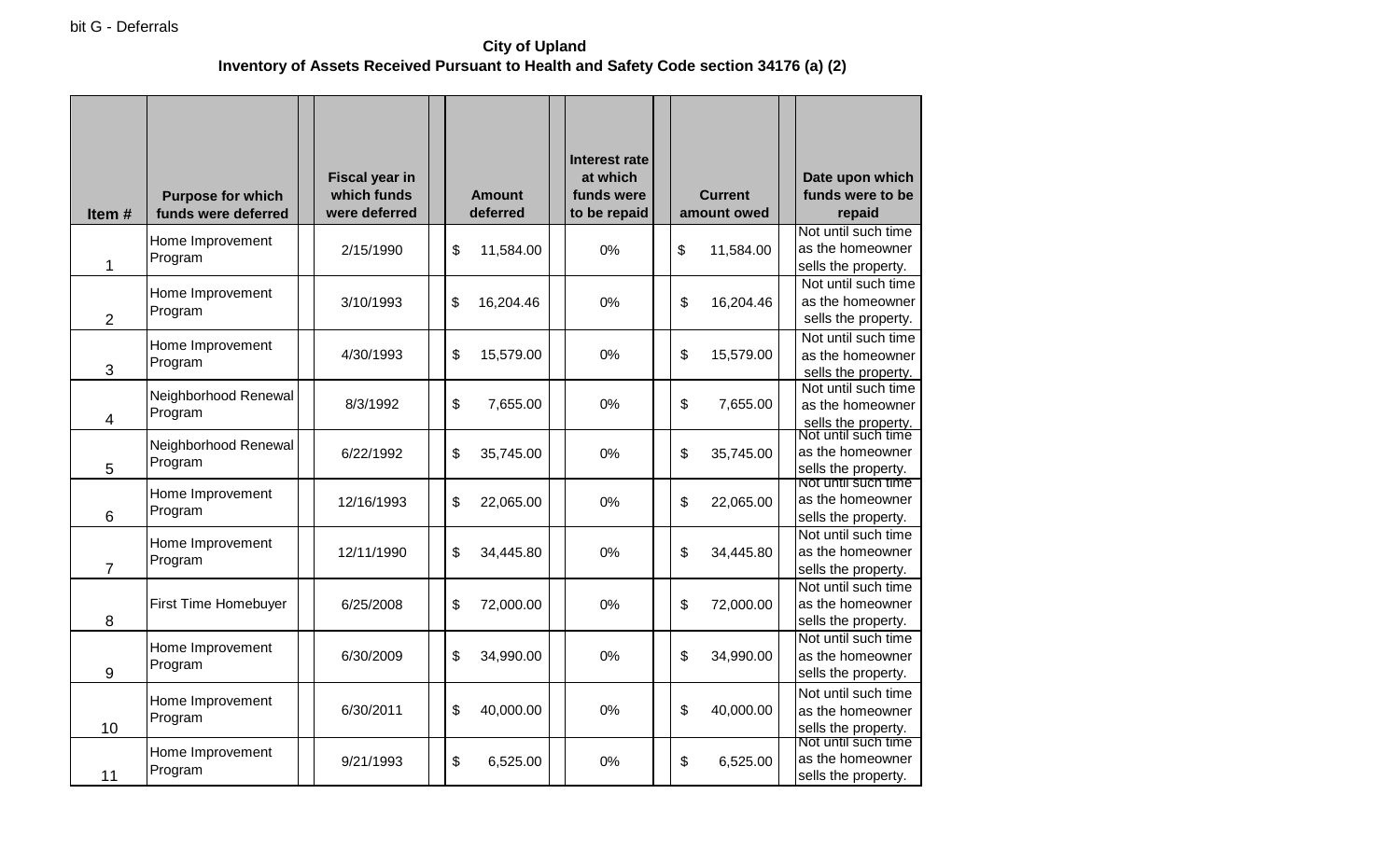**City of Upland Inventory of Assets Received Pursuant to Health and Safety Code section 34176 (a) (2)** 

| ltem #         | <b>Purpose for which</b><br>funds were deferred | <b>Fiscal year in</b><br>which funds<br>were deferred | <b>Amount</b><br>deferred | <b>Interest rate</b><br>at which<br>funds were<br>to be repaid |    | <b>Current</b><br>amount owed | Date upon which<br>funds were to be<br>repaid                  |
|----------------|-------------------------------------------------|-------------------------------------------------------|---------------------------|----------------------------------------------------------------|----|-------------------------------|----------------------------------------------------------------|
| 1              | Home Improvement<br>Program                     | 2/15/1990                                             | \$<br>11,584.00           | 0%                                                             | \$ | 11,584.00                     | Not until such time<br>as the homeowner<br>sells the property. |
| $\overline{2}$ | Home Improvement<br>Program                     | 3/10/1993                                             | \$<br>16,204.46           | 0%                                                             | \$ | 16,204.46                     | Not until such time<br>as the homeowner<br>sells the property. |
| 3              | Home Improvement<br>Program                     | 4/30/1993                                             | \$<br>15,579.00           | 0%                                                             | \$ | 15,579.00                     | Not until such time<br>as the homeowner<br>sells the property. |
| 4              | Neighborhood Renewal<br>Program                 | 8/3/1992                                              | \$<br>7,655.00            | 0%                                                             | \$ | 7,655.00                      | Not until such time<br>as the homeowner<br>sells the property. |
| 5              | Neighborhood Renewal<br>Program                 | 6/22/1992                                             | \$<br>35,745.00           | 0%                                                             | \$ | 35,745.00                     | Not until such time<br>as the homeowner<br>sells the property. |
| 6              | Home Improvement<br>Program                     | 12/16/1993                                            | \$<br>22,065.00           | 0%                                                             | \$ | 22,065.00                     | Not until such time<br>as the homeowner<br>sells the property. |
| 7              | Home Improvement<br>Program                     | 12/11/1990                                            | \$<br>34,445.80           | 0%                                                             | \$ | 34,445.80                     | Not until such time<br>as the homeowner<br>sells the property. |
| 8              | First Time Homebuyer                            | 6/25/2008                                             | \$<br>72,000.00           | 0%                                                             | \$ | 72,000.00                     | Not until such time<br>as the homeowner<br>sells the property. |
| 9              | Home Improvement<br>Program                     | 6/30/2009                                             | \$<br>34,990.00           | 0%                                                             | \$ | 34,990.00                     | Not until such time<br>as the homeowner<br>sells the property. |
| 10             | Home Improvement<br>Program                     | 6/30/2011                                             | \$<br>40,000.00           | 0%                                                             | \$ | 40,000.00                     | Not until such time<br>as the homeowner<br>sells the property. |
| 11             | Home Improvement<br>Program                     | 9/21/1993                                             | \$<br>6,525.00            | 0%                                                             | \$ | 6,525.00                      | Not until such time<br>as the homeowner<br>sells the property. |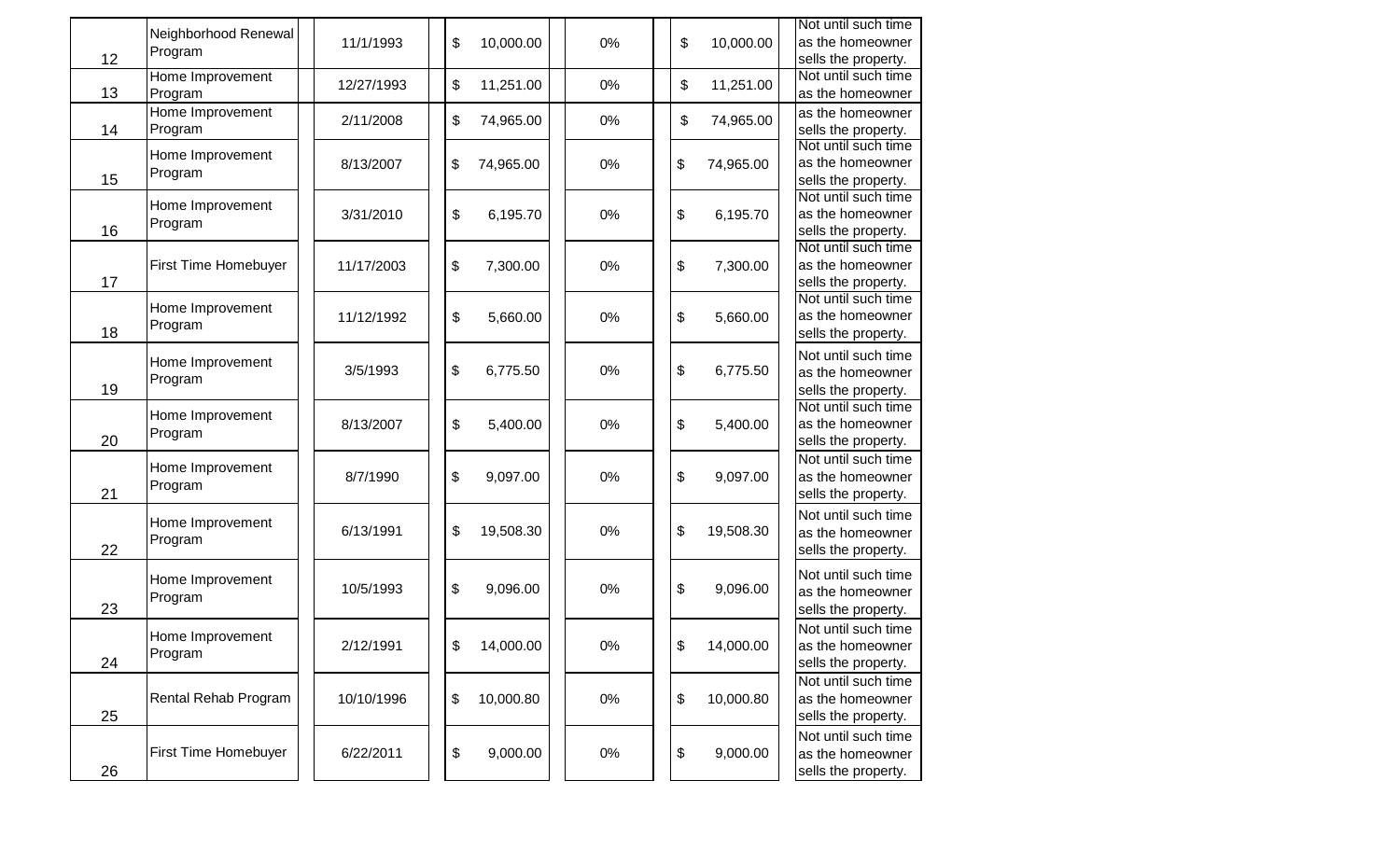| 12 | Neighborhood Renewal<br>Program | 11/1/1993  | \$ | 10,000.00 | 0%    | \$ | 10,000.00 | Not until such time<br>as the homeowner<br>sells the property. |
|----|---------------------------------|------------|----|-----------|-------|----|-----------|----------------------------------------------------------------|
| 13 | Home Improvement<br>Program     | 12/27/1993 | \$ | 11,251.00 | 0%    | \$ | 11,251.00 | Not until such time<br>as the homeowner                        |
| 14 | Home Improvement<br>Program     | 2/11/2008  | \$ | 74,965.00 | 0%    | \$ | 74,965.00 | as the homeowner<br>sells the property.                        |
| 15 | Home Improvement<br>Program     | 8/13/2007  | \$ | 74,965.00 | 0%    | \$ | 74,965.00 | Not until such time<br>as the homeowner<br>sells the property. |
| 16 | Home Improvement<br>Program     | 3/31/2010  | \$ | 6,195.70  | 0%    | \$ | 6,195.70  | Not until such time<br>as the homeowner<br>sells the property. |
| 17 | First Time Homebuyer            | 11/17/2003 | \$ | 7,300.00  | 0%    | \$ | 7,300.00  | Not until such time<br>as the homeowner<br>sells the property. |
| 18 | Home Improvement<br>Program     | 11/12/1992 | \$ | 5,660.00  | 0%    | \$ | 5,660.00  | Not until such time<br>as the homeowner<br>sells the property. |
| 19 | Home Improvement<br>Program     | 3/5/1993   | \$ | 6,775.50  | 0%    | \$ | 6,775.50  | Not until such time<br>as the homeowner<br>sells the property. |
| 20 | Home Improvement<br>Program     | 8/13/2007  | \$ | 5,400.00  | 0%    | \$ | 5,400.00  | Not until such time<br>as the homeowner<br>sells the property. |
| 21 | Home Improvement<br>Program     | 8/7/1990   | \$ | 9,097.00  | 0%    | \$ | 9,097.00  | Not until such time<br>as the homeowner<br>sells the property. |
| 22 | Home Improvement<br>Program     | 6/13/1991  | \$ | 19,508.30 | 0%    | \$ | 19,508.30 | Not until such time<br>as the homeowner<br>sells the property. |
| 23 | Home Improvement<br>Program     | 10/5/1993  | \$ | 9,096.00  | 0%    | \$ | 9,096.00  | Not until such time<br>as the homeowner<br>sells the property. |
| 24 | Home Improvement<br>Program     | 2/12/1991  | \$ | 14,000.00 | $0\%$ | \$ | 14,000.00 | Not until such time<br>as the homeowner<br>sells the property. |
| 25 | Rental Rehab Program            | 10/10/1996 | \$ | 10,000.80 | 0%    | \$ | 10,000.80 | Not until such time<br>as the homeowner<br>sells the property. |
| 26 | First Time Homebuyer            | 6/22/2011  | \$ | 9,000.00  | 0%    | \$ | 9,000.00  | Not until such time<br>as the homeowner<br>sells the property. |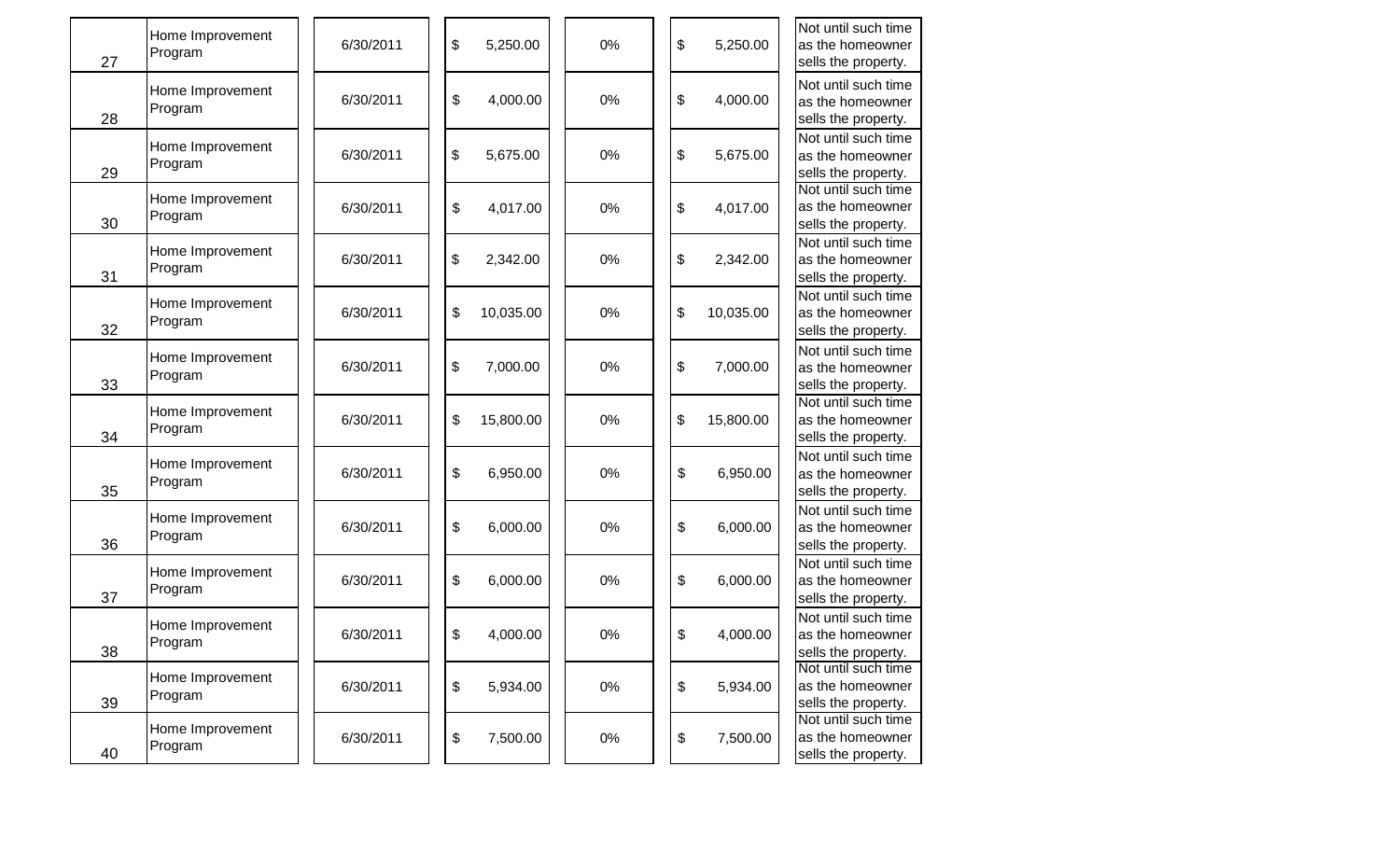| 27 | Home Improvement<br>Program | 6/30/2011 | \$<br>5,250.00  | 0%    | \$<br>5,250.00  | Not until such time<br>as the homeowner<br>sells the property. |
|----|-----------------------------|-----------|-----------------|-------|-----------------|----------------------------------------------------------------|
| 28 | Home Improvement<br>Program | 6/30/2011 | \$<br>4,000.00  | 0%    | \$<br>4,000.00  | Not until such time<br>as the homeowner<br>sells the property. |
| 29 | Home Improvement<br>Program | 6/30/2011 | \$<br>5,675.00  | 0%    | \$<br>5,675.00  | Not until such time<br>as the homeowner<br>sells the property. |
| 30 | Home Improvement<br>Program | 6/30/2011 | \$<br>4,017.00  | 0%    | \$<br>4,017.00  | Not until such time<br>as the homeowner<br>sells the property. |
| 31 | Home Improvement<br>Program | 6/30/2011 | \$<br>2,342.00  | 0%    | \$<br>2,342.00  | Not until such time<br>as the homeowner<br>sells the property. |
| 32 | Home Improvement<br>Program | 6/30/2011 | \$<br>10,035.00 | 0%    | \$<br>10,035.00 | Not until such time<br>as the homeowner<br>sells the property. |
| 33 | Home Improvement<br>Program | 6/30/2011 | 7,000.00<br>\$  | 0%    | \$<br>7,000.00  | Not until such time<br>as the homeowner<br>sells the property. |
| 34 | Home Improvement<br>Program | 6/30/2011 | \$<br>15,800.00 | 0%    | \$<br>15,800.00 | Not until such time<br>as the homeowner<br>sells the property. |
| 35 | Home Improvement<br>Program | 6/30/2011 | \$<br>6,950.00  | 0%    | \$<br>6,950.00  | Not until such time<br>as the homeowner<br>sells the property. |
| 36 | Home Improvement<br>Program | 6/30/2011 | \$<br>6,000.00  | 0%    | \$<br>6,000.00  | Not until such time<br>as the homeowner<br>sells the property. |
| 37 | Home Improvement<br>Program | 6/30/2011 | 6,000.00<br>\$  | 0%    | \$<br>6,000.00  | Not until such time<br>as the homeowner<br>sells the property. |
| 38 | Home Improvement<br>Program | 6/30/2011 | 4,000.00<br>\$  | 0%    | \$<br>4,000.00  | Not until such time<br>as the homeowner<br>sells the property. |
| 39 | Home Improvement<br>Program | 6/30/2011 | \$<br>5,934.00  | $0\%$ | \$<br>5,934.00  | Not until such time<br>as the homeowner<br>sells the property. |
| 40 | Home Improvement<br>Program | 6/30/2011 | \$<br>7,500.00  | $0\%$ | \$<br>7,500.00  | Not until such time<br>as the homeowner<br>sells the property. |